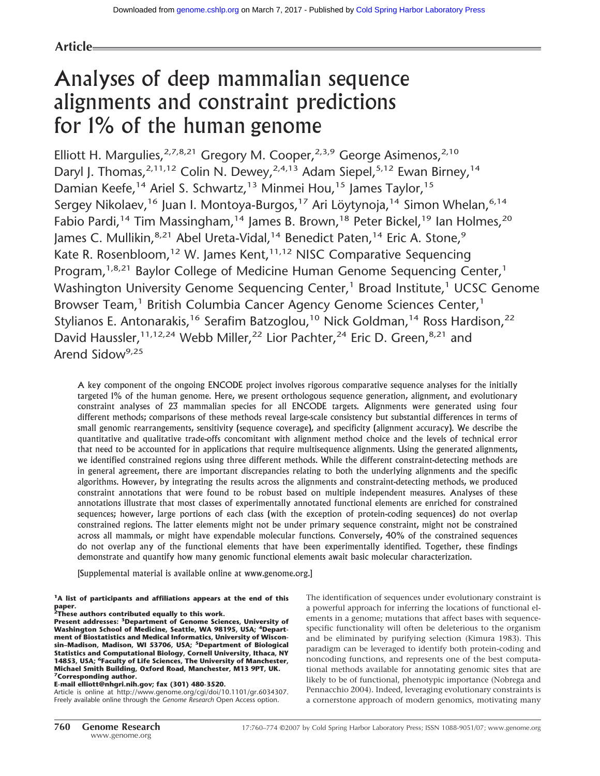### **Article**

# Analyses of deep mammalian sequence alignments and constraint predictions for 1% of the human genome

Elliott H. Margulies,  $2,7,8,21$  Gregory M. Cooper,  $2,3,9$  George Asimenos,  $2,10$ Daryl J. Thomas,  $2,11,12$  Colin N. Dewey,  $2,4,13$  Adam Siepel,  $5,12$  Ewan Birney,  $14$ Damian Keefe,<sup>14</sup> Ariel S. Schwartz,<sup>13</sup> Minmei Hou,<sup>15</sup> James Taylor,<sup>15</sup> Sergey Nikolaev,<sup>16</sup> Juan I. Montoya-Burgos,<sup>17</sup> Ari Löytynoja,<sup>14</sup> Simon Whelan,<sup>6,14</sup> Fabio Pardi,<sup>14</sup> Tim Massingham,<sup>14</sup> James B. Brown,<sup>18</sup> Peter Bickel,<sup>19</sup> Ian Holmes,<sup>20</sup> James C. Mullikin, 8,21 Abel Ureta-Vidal, <sup>14</sup> Benedict Paten, <sup>14</sup> Eric A. Stone, 9 Kate R. Rosenbloom,<sup>12</sup> W. James Kent,<sup>11,12</sup> NISC Comparative Sequencing Program,<sup>1,8,21</sup> Baylor College of Medicine Human Genome Sequencing Center,<sup>1</sup> Washington University Genome Sequencing Center,<sup>1</sup> Broad Institute,<sup>1</sup> UCSC Genome Browser Team,<sup>1</sup> British Columbia Cancer Agency Genome Sciences Center,<sup>1</sup> Stylianos E. Antonarakis,<sup>16</sup> Serafim Batzoglou,<sup>10</sup> Nick Goldman,<sup>14</sup> Ross Hardison,<sup>22</sup> David Haussler,<sup>11,12,24</sup> Webb Miller,<sup>22</sup> Lior Pachter,<sup>24</sup> Eric D. Green,<sup>8,21</sup> and Arend Sidow<sup>9,25</sup>

A key component of the ongoing ENCODE project involves rigorous comparative sequence analyses for the initially targeted 1% of the human genome. Here, we present orthologous sequence generation, alignment, and evolutionary constraint analyses of 23 mammalian species for all ENCODE targets. Alignments were generated using four different methods; comparisons of these methods reveal large-scale consistency but substantial differences in terms of small genomic rearrangements, sensitivity (sequence coverage), and specificity (alignment accuracy). We describe the quantitative and qualitative trade-offs concomitant with alignment method choice and the levels of technical error that need to be accounted for in applications that require multisequence alignments. Using the generated alignments, we identified constrained regions using three different methods. While the different constraint-detecting methods are in general agreement, there are important discrepancies relating to both the underlying alignments and the specific algorithms. However, by integrating the results across the alignments and constraint-detecting methods, we produced constraint annotations that were found to be robust based on multiple independent measures. Analyses of these annotations illustrate that most classes of experimentally annotated functional elements are enriched for constrained sequences; however, large portions of each class (with the exception of protein-coding sequences) do not overlap constrained regions. The latter elements might not be under primary sequence constraint, might not be constrained across all mammals, or might have expendable molecular functions. Conversely, 40% of the constrained sequences do not overlap any of the functional elements that have been experimentally identified. Together, these findings demonstrate and quantify how many genomic functional elements await basic molecular characterization.

[Supplemental material is available online at www.genome.org.]

# **1A list of participants and affiliations appears at the end of this**

**paper. 2These authors contributed equally to this work.**

**Present addresses: 3Department of Genome Sciences, University of** Washington School of Medicine, Seattle, WA 98195, USA; <sup>4</sup>Depart**ment of Biostatistics and Medical Informatics, University of Wiscon-sin–Madison, Madison, WI 53706, USA; 5Department of Biological Statistics and Computational Biology, Cornell University, Ithaca, NY 14853, USA; 6Faculty of Life Sciences, The University of Manchester, Michael Smith Building, Oxford Road, Manchester, M13 9PT, UK. 7Corresponding author.**

#### **E-mail elliott@nhgri.nih.gov; fax (301) 480-3520.**

Article is online at http://www.genome.org/cgi/doi/10.1101/gr.6034307. Freely available online through the *Genome Research* Open Access option.

The identification of sequences under evolutionary constraint is a powerful approach for inferring the locations of functional elements in a genome; mutations that affect bases with sequencespecific functionality will often be deleterious to the organism and be eliminated by purifying selection (Kimura 1983). This paradigm can be leveraged to identify both protein-coding and noncoding functions, and represents one of the best computational methods available for annotating genomic sites that are likely to be of functional, phenotypic importance (Nobrega and Pennacchio 2004). Indeed, leveraging evolutionary constraints is a cornerstone approach of modern genomics, motivating many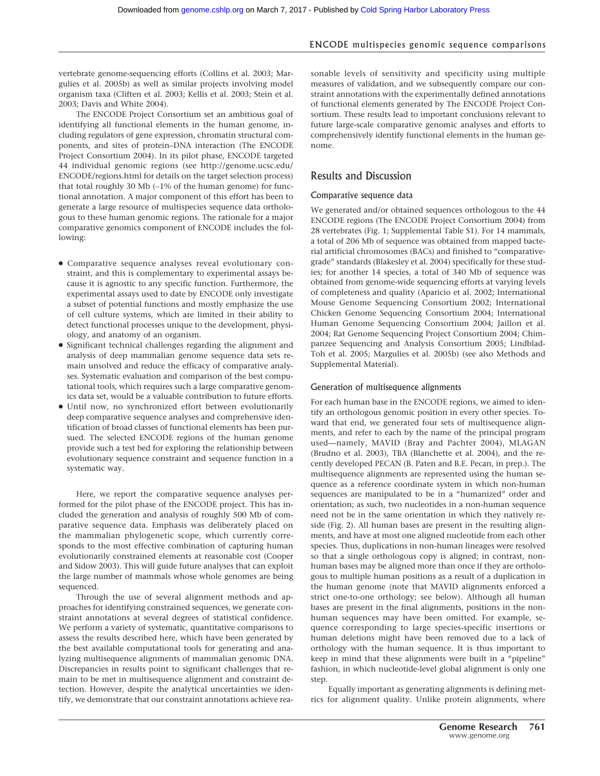vertebrate genome-sequencing efforts (Collins et al. 2003; Margulies et al. 2005b) as well as similar projects involving model organism taxa (Cliften et al. 2003; Kellis et al. 2003; Stein et al. 2003; Davis and White 2004).

The ENCODE Project Consortium set an ambitious goal of identifying all functional elements in the human genome, including regulators of gene expression, chromatin structural components, and sites of protein–DNA interaction (The ENCODE Project Consortium 2004). In its pilot phase, ENCODE targeted 44 individual genomic regions (see http://genome.ucsc.edu/ ENCODE/regions.html for details on the target selection process) that total roughly 30 Mb (∼1% of the human genome) for functional annotation. A major component of this effort has been to generate a large resource of multispecies sequence data orthologous to these human genomic regions. The rationale for a major comparative genomics component of ENCODE includes the following:

- Comparative sequence analyses reveal evolutionary constraint, and this is complementary to experimental assays because it is agnostic to any specific function. Furthermore, the experimental assays used to date by ENCODE only investigate a subset of potential functions and mostly emphasize the use of cell culture systems, which are limited in their ability to detect functional processes unique to the development, physiology, and anatomy of an organism.
- Significant technical challenges regarding the alignment and analysis of deep mammalian genome sequence data sets remain unsolved and reduce the efficacy of comparative analyses. Systematic evaluation and comparison of the best computational tools, which requires such a large comparative genomics data set, would be a valuable contribution to future efforts.
- Until now, no synchronized effort between evolutionarily deep comparative sequence analyses and comprehensive identification of broad classes of functional elements has been pursued. The selected ENCODE regions of the human genome provide such a test bed for exploring the relationship between evolutionary sequence constraint and sequence function in a systematic way.

Here, we report the comparative sequence analyses performed for the pilot phase of the ENCODE project. This has included the generation and analysis of roughly 500 Mb of comparative sequence data. Emphasis was deliberately placed on the mammalian phylogenetic scope, which currently corresponds to the most effective combination of capturing human evolutionarily constrained elements at reasonable cost (Cooper and Sidow 2003). This will guide future analyses that can exploit the large number of mammals whose whole genomes are being sequenced.

Through the use of several alignment methods and approaches for identifying constrained sequences, we generate constraint annotations at several degrees of statistical confidence. We perform a variety of systematic, quantitative comparisons to assess the results described here, which have been generated by the best available computational tools for generating and analyzing multisequence alignments of mammalian genomic DNA. Discrepancies in results point to significant challenges that remain to be met in multisequence alignment and constraint detection. However, despite the analytical uncertainties we identify, we demonstrate that our constraint annotations achieve reasonable levels of sensitivity and specificity using multiple measures of validation, and we subsequently compare our constraint annotations with the experimentally defined annotations of functional elements generated by The ENCODE Project Consortium. These results lead to important conclusions relevant to future large-scale comparative genomic analyses and efforts to comprehensively identify functional elements in the human genome.

#### Results and Discussion

#### Comparative sequence data

We generated and/or obtained sequences orthologous to the 44 ENCODE regions (The ENCODE Project Consortium 2004) from 28 vertebrates (Fig. 1; Supplemental Table S1). For 14 mammals, a total of 206 Mb of sequence was obtained from mapped bacterial artificial chromosomes (BACs) and finished to "comparativegrade" standards (Blakesley et al. 2004) specifically for these studies; for another 14 species, a total of 340 Mb of sequence was obtained from genome-wide sequencing efforts at varying levels of completeness and quality (Aparicio et al. 2002; International Mouse Genome Sequencing Consortium 2002; International Chicken Genome Sequencing Consortium 2004; International Human Genome Sequencing Consortium 2004; Jaillon et al. 2004; Rat Genome Sequencing Project Consortium 2004; Chimpanzee Sequencing and Analysis Consortium 2005; Lindblad-Toh et al. 2005; Margulies et al. 2005b) (see also Methods and Supplemental Material).

#### Generation of multisequence alignments

For each human base in the ENCODE regions, we aimed to identify an orthologous genomic position in every other species. Toward that end, we generated four sets of multisequence alignments, and refer to each by the name of the principal program used—namely, MAVID (Bray and Pachter 2004), MLAGAN (Brudno et al. 2003), TBA (Blanchette et al. 2004), and the recently developed PECAN (B. Paten and B.E. Pecan, in prep.). The multisequence alignments are represented using the human sequence as a reference coordinate system in which non-human sequences are manipulated to be in a "humanized" order and orientation; as such, two nucleotides in a non-human sequence need not be in the same orientation in which they natively reside (Fig. 2). All human bases are present in the resulting alignments, and have at most one aligned nucleotide from each other species. Thus, duplications in non-human lineages were resolved so that a single orthologous copy is aligned; in contrast, nonhuman bases may be aligned more than once if they are orthologous to multiple human positions as a result of a duplication in the human genome (note that MAVID alignments enforced a strict one-to-one orthology; see below). Although all human bases are present in the final alignments, positions in the nonhuman sequences may have been omitted. For example, sequence corresponding to large species-specific insertions or human deletions might have been removed due to a lack of orthology with the human sequence. It is thus important to keep in mind that these alignments were built in a "pipeline" fashion, in which nucleotide-level global alignment is only one step.

Equally important as generating alignments is defining metrics for alignment quality. Unlike protein alignments, where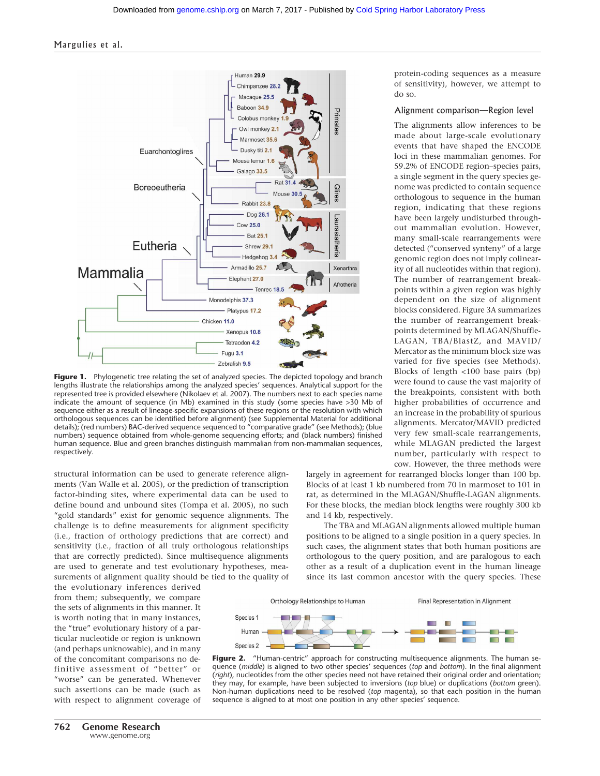

Figure 1. Phylogenetic tree relating the set of analyzed species. The depicted topology and branch lengths illustrate the relationships among the analyzed species' sequences. Analytical support for the represented tree is provided elsewhere (Nikolaev et al. 2007). The numbers next to each species name indicate the amount of sequence (in Mb) examined in this study (some species have >30 Mb of sequence either as a result of lineage-specific expansions of these regions or the resolution with which orthologous sequences can be identified before alignment) (see Supplemental Material for additional details); (red numbers) BAC-derived sequence sequenced to "comparative grade" (see Methods); (blue numbers) sequence obtained from whole-genome sequencing efforts; and (black numbers) finished human sequence. Blue and green branches distinguish mammalian from non-mammalian sequences, respectively.

structural information can be used to generate reference alignments (Van Walle et al. 2005), or the prediction of transcription factor-binding sites, where experimental data can be used to define bound and unbound sites (Tompa et al. 2005), no such "gold standards" exist for genomic sequence alignments. The challenge is to define measurements for alignment specificity (i.e., fraction of orthology predictions that are correct) and sensitivity (i.e., fraction of all truly orthologous relationships that are correctly predicted). Since multisequence alignments are used to generate and test evolutionary hypotheses, measurements of alignment quality should be tied to the quality of

the evolutionary inferences derived from them; subsequently, we compare the sets of alignments in this manner. It is worth noting that in many instances, the "true" evolutionary history of a particular nucleotide or region is unknown (and perhaps unknowable), and in many of the concomitant comparisons no definitive assessment of "better" or "worse" can be generated. Whenever such assertions can be made (such as with respect to alignment coverage of protein-coding sequences as a measure of sensitivity), however, we attempt to do so.

#### Alignment comparison—Region level

The alignments allow inferences to be made about large-scale evolutionary events that have shaped the ENCODE loci in these mammalian genomes. For 59.2% of ENCODE region–species pairs, a single segment in the query species genome was predicted to contain sequence orthologous to sequence in the human region, indicating that these regions have been largely undisturbed throughout mammalian evolution. However, many small-scale rearrangements were detected ("conserved synteny" of a large genomic region does not imply colinearity of all nucleotides within that region). The number of rearrangement breakpoints within a given region was highly dependent on the size of alignment blocks considered. Figure 3A summarizes the number of rearrangement breakpoints determined by MLAGAN/Shuffle-LAGAN, TBA/BlastZ, and MAVID/ Mercator as the minimum block size was varied for five species (see Methods). Blocks of length <100 base pairs (bp) were found to cause the vast majority of the breakpoints, consistent with both higher probabilities of occurrence and an increase in the probability of spurious alignments. Mercator/MAVID predicted very few small-scale rearrangements, while MLAGAN predicted the largest number, particularly with respect to cow. However, the three methods were

largely in agreement for rearranged blocks longer than 100 bp. Blocks of at least 1 kb numbered from 70 in marmoset to 101 in rat, as determined in the MLAGAN/Shuffle-LAGAN alignments. For these blocks, the median block lengths were roughly 300 kb and 14 kb, respectively.

The TBA and MLAGAN alignments allowed multiple human positions to be aligned to a single position in a query species. In such cases, the alignment states that both human positions are orthologous to the query position, and are paralogous to each other as a result of a duplication event in the human lineage since its last common ancestor with the query species. These



Figure 2. "Human-centric" approach for constructing multisequence alignments. The human sequence (*middle*) is aligned to two other species' sequences (*top* and *bottom*). In the final alignment (*right*), nucleotides from the other species need not have retained their original order and orientation; they may, for example, have been subjected to inversions (*top* blue) or duplications (*bottom* green). Non-human duplications need to be resolved (*top* magenta), so that each position in the human sequence is aligned to at most one position in any other species' sequence.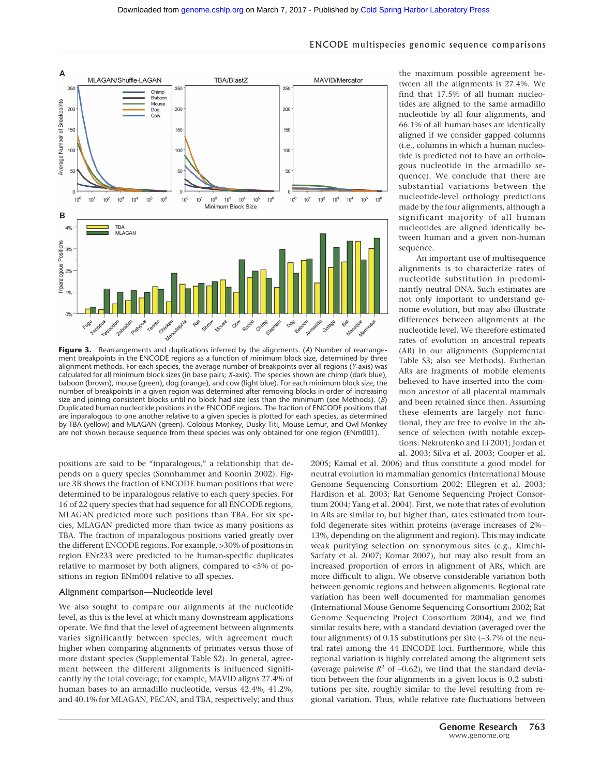

**Figure 3.** Rearrangements and duplications inferred by the alignments. (*A*) Number of rearrangement breakpoints in the ENCODE regions as a function of minimum block size, determined by three alignment methods. For each species, the average number of breakpoints over all regions (*Y*-axis) was calculated for all minimum block sizes (in base pairs; *X*-axis). The species shown are chimp (dark blue), baboon (brown), mouse (green), dog (orange), and cow (light blue). For each minimum block size, the number of breakpoints in a given region was determined after removing blocks in order of increasing size and joining consistent blocks until no block had size less than the minimum (see Methods). (*B*) Duplicated human nucleotide positions in the ENCODE regions. The fraction of ENCODE positions that are inparalogous to one another relative to a given species is plotted for each species, as determined by TBA (yellow) and MLAGAN (green). Colobus Monkey, Dusky Titi, Mouse Lemur, and Owl Monkey are not shown because sequence from these species was only obtained for one region (ENm001).

positions are said to be "inparalogous," a relationship that depends on a query species (Sonnhammer and Koonin 2002). Figure 3B shows the fraction of ENCODE human positions that were determined to be inparalogous relative to each query species. For 16 of 22 query species that had sequence for all ENCODE regions, MLAGAN predicted more such positions than TBA. For six species, MLAGAN predicted more than twice as many positions as TBA. The fraction of inparalogous positions varied greatly over the different ENCODE regions. For example, >30% of positions in region ENr233 were predicted to be human-specific duplicates relative to marmoset by both aligners, compared to <5% of positions in region ENm004 relative to all species.

#### Alignment comparison—Nucleotide level

We also sought to compare our alignments at the nucleotide level, as this is the level at which many downstream applications operate. We find that the level of agreement between alignments varies significantly between species, with agreement much higher when comparing alignments of primates versus those of more distant species (Supplemental Table S2). In general, agreement between the different alignments is influenced significantly by the total coverage; for example, MAVID aligns 27.4% of human bases to an armadillo nucleotide, versus 42.4%, 41.2%, and 40.1% for MLAGAN, PECAN, and TBA, respectively; and thus the maximum possible agreement between all the alignments is 27.4%. We find that 17.5% of all human nucleotides are aligned to the same armadillo nucleotide by all four alignments, and 66.1% of all human bases are identically aligned if we consider gapped columns (i.e., columns in which a human nucleotide is predicted not to have an orthologous nucleotide in the armadillo sequence). We conclude that there are substantial variations between the nucleotide-level orthology predictions made by the four alignments, although a significant majority of all human nucleotides are aligned identically between human and a given non-human sequence.

An important use of multisequence alignments is to characterize rates of nucleotide substitution in predominantly neutral DNA. Such estimates are not only important to understand genome evolution, but may also illustrate differences between alignments at the nucleotide level. We therefore estimated rates of evolution in ancestral repeats (AR) in our alignments (Supplemental Table S3; also see Methods). Eutherian ARs are fragments of mobile elements believed to have inserted into the common ancestor of all placental mammals and been retained since then. Assuming these elements are largely not functional, they are free to evolve in the absence of selection (with notable exceptions: Nekrutenko and Li 2001; Jordan et al. 2003; Silva et al. 2003; Cooper et al.

2005; Kamal et al. 2006) and thus constitute a good model for neutral evolution in mammalian genomics (International Mouse Genome Sequencing Consortium 2002; Ellegren et al. 2003; Hardison et al. 2003; Rat Genome Sequencing Project Consortium 2004; Yang et al. 2004). First, we note that rates of evolution in ARs are similar to, but higher than, rates estimated from fourfold degenerate sites within proteins (average increases of 2%– 13%, depending on the alignment and region). This may indicate weak purifying selection on synonymous sites (e.g., Kimchi-Sarfaty et al. 2007; Komar 2007), but may also result from an increased proportion of errors in alignment of ARs, which are more difficult to align. We observe considerable variation both between genomic regions and between alignments. Regional rate variation has been well documented for mammalian genomes (International Mouse Genome Sequencing Consortium 2002; Rat Genome Sequencing Project Consortium 2004), and we find similar results here, with a standard deviation (averaged over the four alignments) of 0.15 substitutions per site (∼3.7% of the neutral rate) among the 44 ENCODE loci. Furthermore, while this regional variation is highly correlated among the alignment sets (average pairwise *R*<sup>2</sup> of ∼0.62), we find that the standard deviation between the four alignments in a given locus is 0.2 substitutions per site, roughly similar to the level resulting from regional variation. Thus, while relative rate fluctuations between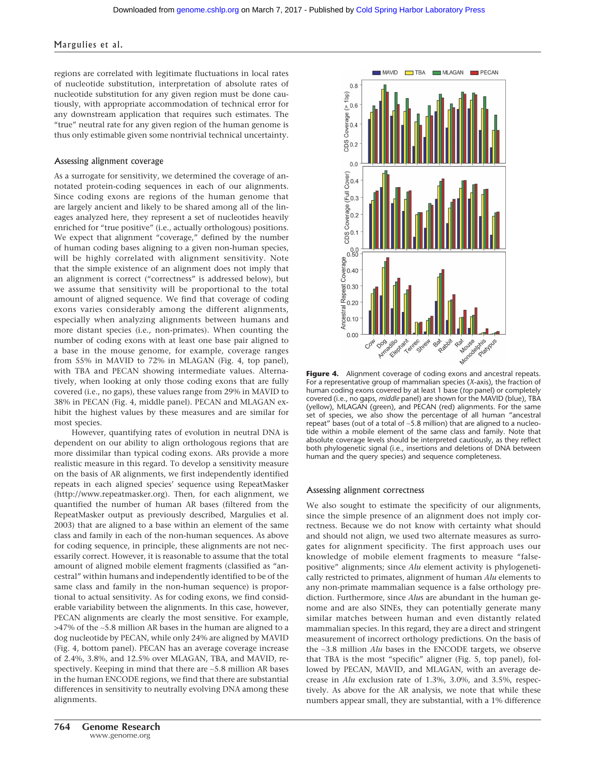$0.8$ 

#### Margulies et al.

regions are correlated with legitimate fluctuations in local rates of nucleotide substitution, interpretation of absolute rates of nucleotide substitution for any given region must be done cautiously, with appropriate accommodation of technical error for any downstream application that requires such estimates. The "true" neutral rate for any given region of the human genome is thus only estimable given some nontrivial technical uncertainty.

#### Assessing alignment coverage

As a surrogate for sensitivity, we determined the coverage of annotated protein-coding sequences in each of our alignments. Since coding exons are regions of the human genome that are largely ancient and likely to be shared among all of the lineages analyzed here, they represent a set of nucleotides heavily enriched for "true positive" (i.e., actually orthologous) positions. We expect that alignment "coverage," defined by the number of human coding bases aligning to a given non-human species, will be highly correlated with alignment sensitivity. Note that the simple existence of an alignment does not imply that an alignment is correct ("correctness" is addressed below), but we assume that sensitivity will be proportional to the total amount of aligned sequence. We find that coverage of coding exons varies considerably among the different alignments, especially when analyzing alignments between humans and more distant species (i.e., non-primates). When counting the number of coding exons with at least one base pair aligned to a base in the mouse genome, for example, coverage ranges from 55% in MAVID to 72% in MLAGAN (Fig. 4, top panel), with TBA and PECAN showing intermediate values. Alternatively, when looking at only those coding exons that are fully covered (i.e., no gaps), these values range from 29% in MAVID to 38% in PECAN (Fig. 4, middle panel). PECAN and MLAGAN exhibit the highest values by these measures and are similar for most species.

However, quantifying rates of evolution in neutral DNA is dependent on our ability to align orthologous regions that are more dissimilar than typical coding exons. ARs provide a more realistic measure in this regard. To develop a sensitivity measure on the basis of AR alignments, we first independently identified repeats in each aligned species' sequence using RepeatMasker (http://www.repeatmasker.org). Then, for each alignment, we quantified the number of human AR bases (filtered from the RepeatMasker output as previously described, Margulies et al. 2003) that are aligned to a base within an element of the same class and family in each of the non-human sequences. As above for coding sequence, in principle, these alignments are not necessarily correct. However, it is reasonable to assume that the total amount of aligned mobile element fragments (classified as "ancestral" within humans and independently identified to be of the same class and family in the non-human sequence) is proportional to actual sensitivity. As for coding exons, we find considerable variability between the alignments. In this case, however, PECAN alignments are clearly the most sensitive. For example, >47% of the ∼5.8 million AR bases in the human are aligned to a dog nucleotide by PECAN, while only 24% are aligned by MAVID (Fig. 4, bottom panel). PECAN has an average coverage increase of 2.4%, 3.8%, and 12.5% over MLAGAN, TBA, and MAVID, respectively. Keeping in mind that there are ∼5.8 million AR bases in the human ENCODE regions, we find that there are substantial differences in sensitivity to neutrally evolving DNA among these alignments.



MAVID TBA MLAGAN PECAN

#### Assessing alignment correctness

We also sought to estimate the specificity of our alignments, since the simple presence of an alignment does not imply correctness. Because we do not know with certainty what should and should not align, we used two alternate measures as surrogates for alignment specificity. The first approach uses our knowledge of mobile element fragments to measure "falsepositive" alignments; since *Alu* element activity is phylogenetically restricted to primates, alignment of human *Alu* elements to any non-primate mammalian sequence is a false orthology prediction. Furthermore, since *Alu*s are abundant in the human genome and are also SINEs, they can potentially generate many similar matches between human and even distantly related mammalian species. In this regard, they are a direct and stringent measurement of incorrect orthology predictions. On the basis of the ∼3.8 million *Alu* bases in the ENCODE targets, we observe that TBA is the most "specific" aligner (Fig. 5, top panel), followed by PECAN, MAVID, and MLAGAN, with an average decrease in *Alu* exclusion rate of 1.3%, 3.0%, and 3.5%, respectively. As above for the AR analysis, we note that while these numbers appear small, they are substantial, with a 1% difference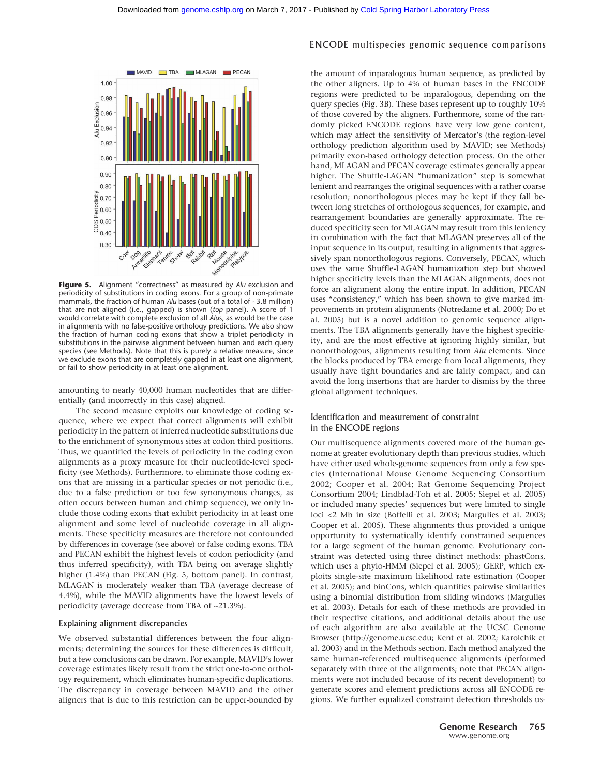

**Figure 5.** Alignment "correctness" as measured by *Alu* exclusion and periodicity of substitutions in coding exons. For a group of non-primate mammals, the fraction of human *Alu* bases (out of a total of ∼3.8 million) that are not aligned (i.e., gapped) is shown (*top* panel). A score of 1 would correlate with complete exclusion of all *Alu*s, as would be the case in alignments with no false-positive orthology predictions. We also show the fraction of human coding exons that show a triplet periodicity in substitutions in the pairwise alignment between human and each query species (see Methods). Note that this is purely a relative measure, since we exclude exons that are completely gapped in at least one alignment, or fail to show periodicity in at least one alignment.

amounting to nearly 40,000 human nucleotides that are differentially (and incorrectly in this case) aligned.

The second measure exploits our knowledge of coding sequence, where we expect that correct alignments will exhibit periodicity in the pattern of inferred nucleotide substitutions due to the enrichment of synonymous sites at codon third positions. Thus, we quantified the levels of periodicity in the coding exon alignments as a proxy measure for their nucleotide-level specificity (see Methods). Furthermore, to eliminate those coding exons that are missing in a particular species or not periodic (i.e., due to a false prediction or too few synonymous changes, as often occurs between human and chimp sequence), we only include those coding exons that exhibit periodicity in at least one alignment and some level of nucleotide coverage in all alignments. These specificity measures are therefore not confounded by differences in coverage (see above) or false coding exons. TBA and PECAN exhibit the highest levels of codon periodicity (and thus inferred specificity), with TBA being on average slightly higher (1.4%) than PECAN (Fig. 5, bottom panel). In contrast, MLAGAN is moderately weaker than TBA (average decrease of 4.4%), while the MAVID alignments have the lowest levels of periodicity (average decrease from TBA of ∼21.3%).

#### Explaining alignment discrepancies

We observed substantial differences between the four alignments; determining the sources for these differences is difficult, but a few conclusions can be drawn. For example, MAVID's lower coverage estimates likely result from the strict one-to-one orthology requirement, which eliminates human-specific duplications. The discrepancy in coverage between MAVID and the other aligners that is due to this restriction can be upper-bounded by

#### ENCODE multispecies genomic sequence comparisons

the amount of inparalogous human sequence, as predicted by the other aligners. Up to 4% of human bases in the ENCODE regions were predicted to be inparalogous, depending on the query species (Fig. 3B). These bases represent up to roughly 10% of those covered by the aligners. Furthermore, some of the randomly picked ENCODE regions have very low gene content, which may affect the sensitivity of Mercator's (the region-level orthology prediction algorithm used by MAVID; see Methods) primarily exon-based orthology detection process. On the other hand, MLAGAN and PECAN coverage estimates generally appear higher. The Shuffle-LAGAN "humanization" step is somewhat lenient and rearranges the original sequences with a rather coarse resolution; nonorthologous pieces may be kept if they fall between long stretches of orthologous sequences, for example, and rearrangement boundaries are generally approximate. The reduced specificity seen for MLAGAN may result from this leniency in combination with the fact that MLAGAN preserves all of the input sequence in its output, resulting in alignments that aggressively span nonorthologous regions. Conversely, PECAN, which uses the same Shuffle-LAGAN humanization step but showed higher specificity levels than the MLAGAN alignments, does not force an alignment along the entire input. In addition, PECAN uses "consistency," which has been shown to give marked improvements in protein alignments (Notredame et al. 2000; Do et al. 2005) but is a novel addition to genomic sequence alignments. The TBA alignments generally have the highest specificity, and are the most effective at ignoring highly similar, but nonorthologous, alignments resulting from *Alu* elements. Since the blocks produced by TBA emerge from local alignments, they usually have tight boundaries and are fairly compact, and can avoid the long insertions that are harder to dismiss by the three global alignment techniques.

#### Identification and measurement of constraint in the ENCODE regions

Our multisequence alignments covered more of the human genome at greater evolutionary depth than previous studies, which have either used whole-genome sequences from only a few species (International Mouse Genome Sequencing Consortium 2002; Cooper et al. 2004; Rat Genome Sequencing Project Consortium 2004; Lindblad-Toh et al. 2005; Siepel et al. 2005) or included many species' sequences but were limited to single loci <2 Mb in size (Boffelli et al. 2003; Margulies et al. 2003; Cooper et al. 2005). These alignments thus provided a unique opportunity to systematically identify constrained sequences for a large segment of the human genome. Evolutionary constraint was detected using three distinct methods: phastCons, which uses a phylo-HMM (Siepel et al. 2005); GERP, which exploits single-site maximum likelihood rate estimation (Cooper et al. 2005); and binCons, which quantifies pairwise similarities using a binomial distribution from sliding windows (Margulies et al. 2003). Details for each of these methods are provided in their respective citations, and additional details about the use of each algorithm are also available at the UCSC Genome Browser (http://genome.ucsc.edu; Kent et al. 2002; Karolchik et al. 2003) and in the Methods section. Each method analyzed the same human-referenced multisequence alignments (performed separately with three of the alignments; note that PECAN alignments were not included because of its recent development) to generate scores and element predictions across all ENCODE regions. We further equalized constraint detection thresholds us-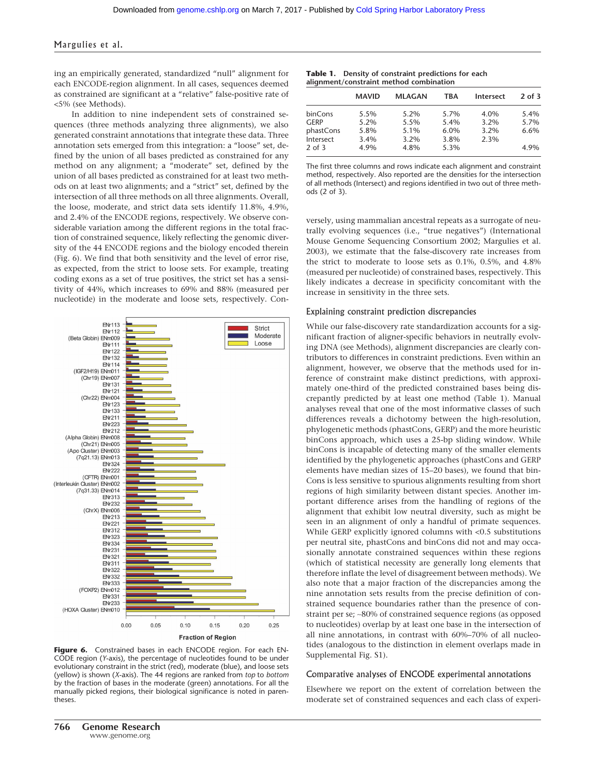ing an empirically generated, standardized "null" alignment for each ENCODE-region alignment. In all cases, sequences deemed as constrained are significant at a "relative" false-positive rate of <5% (see Methods).

In addition to nine independent sets of constrained sequences (three methods analyzing three alignments), we also generated constraint annotations that integrate these data. Three annotation sets emerged from this integration: a "loose" set, defined by the union of all bases predicted as constrained for any method on any alignment; a "moderate" set, defined by the union of all bases predicted as constrained for at least two methods on at least two alignments; and a "strict" set, defined by the intersection of all three methods on all three alignments. Overall, the loose, moderate, and strict data sets identify 11.8%, 4.9%, and 2.4% of the ENCODE regions, respectively. We observe considerable variation among the different regions in the total fraction of constrained sequence, likely reflecting the genomic diversity of the 44 ENCODE regions and the biology encoded therein (Fig. 6). We find that both sensitivity and the level of error rise, as expected, from the strict to loose sets. For example, treating coding exons as a set of true positives, the strict set has a sensitivity of 44%, which increases to 69% and 88% (measured per nucleotide) in the moderate and loose sets, respectively. Con-



**Figure 6.** Constrained bases in each ENCODE region. For each EN-CODE region (*Y*-axis), the percentage of nucleotides found to be under evolutionary constraint in the strict (red), moderate (blue), and loose sets (yellow) is shown (*X*-axis). The 44 regions are ranked from *top* to *bottom* by the fraction of bases in the moderate (green) annotations. For all the manually picked regions, their biological significance is noted in parentheses.

|  | <b>Table 1.</b> Density of constraint predictions for each |  |
|--|------------------------------------------------------------|--|
|  | alignment/constraint method combination                    |  |

|             | <b>MAVID</b> | <b>MLAGAN</b> | TRA  | Intersect | $2$ of $3$ |
|-------------|--------------|---------------|------|-----------|------------|
| binCons     | 5.5%         | $5.2\%$       | 5.7% | 4.0%      | 5.4%       |
| <b>GERP</b> | $5.2\%$      | 5.5%          | 5.4% | 3.2%      | 5.7%       |
| phastCons   | 5.8%         | 5.1%          | 6.0% | 3.2%      | 6.6%       |
| Intersect   | 3.4%         | $3.2\%$       | 3.8% | 2.3%      |            |
| $2$ of $3$  | 4.9%         | 4.8%          | 5.3% |           | 4.9%       |

The first three columns and rows indicate each alignment and constraint method, respectively. Also reported are the densities for the intersection of all methods (Intersect) and regions identified in two out of three methods (2 of 3).

versely, using mammalian ancestral repeats as a surrogate of neutrally evolving sequences (i.e., "true negatives") (International Mouse Genome Sequencing Consortium 2002; Margulies et al. 2003), we estimate that the false-discovery rate increases from the strict to moderate to loose sets as 0.1%, 0.5%, and 4.8% (measured per nucleotide) of constrained bases, respectively. This likely indicates a decrease in specificity concomitant with the increase in sensitivity in the three sets.

#### Explaining constraint prediction discrepancies

While our false-discovery rate standardization accounts for a significant fraction of aligner-specific behaviors in neutrally evolving DNA (see Methods), alignment discrepancies are clearly contributors to differences in constraint predictions. Even within an alignment, however, we observe that the methods used for inference of constraint make distinct predictions, with approximately one-third of the predicted constrained bases being discrepantly predicted by at least one method (Table 1). Manual analyses reveal that one of the most informative classes of such differences reveals a dichotomy between the high-resolution, phylogenetic methods (phastCons, GERP) and the more heuristic binCons approach, which uses a 25-bp sliding window. While binCons is incapable of detecting many of the smaller elements identified by the phylogenetic approaches (phastCons and GERP elements have median sizes of 15–20 bases), we found that bin-Cons is less sensitive to spurious alignments resulting from short regions of high similarity between distant species. Another important difference arises from the handling of regions of the alignment that exhibit low neutral diversity, such as might be seen in an alignment of only a handful of primate sequences. While GERP explicitly ignored columns with <0.5 substitutions per neutral site, phastCons and binCons did not and may occasionally annotate constrained sequences within these regions (which of statistical necessity are generally long elements that therefore inflate the level of disagreement between methods). We also note that a major fraction of the discrepancies among the nine annotation sets results from the precise definition of constrained sequence boundaries rather than the presence of constraint per se; ∼80% of constrained sequence regions (as opposed to nucleotides) overlap by at least one base in the intersection of all nine annotations, in contrast with 60%–70% of all nucleotides (analogous to the distinction in element overlaps made in Supplemental Fig. S1).

#### Comparative analyses of ENCODE experimental annotations

Elsewhere we report on the extent of correlation between the moderate set of constrained sequences and each class of experi-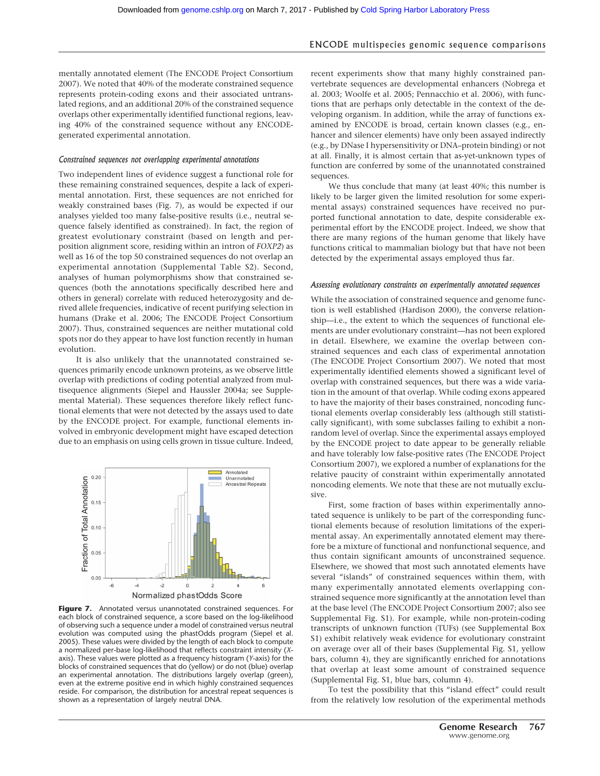mentally annotated element (The ENCODE Project Consortium 2007). We noted that 40% of the moderate constrained sequence represents protein-coding exons and their associated untranslated regions, and an additional 20% of the constrained sequence overlaps other experimentally identified functional regions, leaving 40% of the constrained sequence without any ENCODEgenerated experimental annotation.

#### *Constrained sequences not overlapping experimental annotations*

Two independent lines of evidence suggest a functional role for these remaining constrained sequences, despite a lack of experimental annotation. First, these sequences are not enriched for weakly constrained bases (Fig. 7), as would be expected if our analyses yielded too many false-positive results (i.e., neutral sequence falsely identified as constrained). In fact, the region of greatest evolutionary constraint (based on length and perposition alignment score, residing within an intron of *FOXP2*) as well as 16 of the top 50 constrained sequences do not overlap an experimental annotation (Supplemental Table S2). Second, analyses of human polymorphisms show that constrained sequences (both the annotations specifically described here and others in general) correlate with reduced heterozygosity and derived allele frequencies, indicative of recent purifying selection in humans (Drake et al. 2006; The ENCODE Project Consortium 2007). Thus, constrained sequences are neither mutational cold spots nor do they appear to have lost function recently in human evolution.

It is also unlikely that the unannotated constrained sequences primarily encode unknown proteins, as we observe little overlap with predictions of coding potential analyzed from multisequence alignments (Siepel and Haussler 2004a; see Supplemental Material). These sequences therefore likely reflect functional elements that were not detected by the assays used to date by the ENCODE project. For example, functional elements involved in embryonic development might have escaped detection due to an emphasis on using cells grown in tissue culture. Indeed,



**Figure 7.** Annotated versus unannotated constrained sequences. For each block of constrained sequence, a score based on the log-likelihood of observing such a sequence under a model of constrained versus neutral evolution was computed using the phastOdds program (Siepel et al. 2005). These values were divided by the length of each block to compute a normalized per-base log-likelihood that reflects constraint intensity (*X*axis). These values were plotted as a frequency histogram (*Y*-axis) for the blocks of constrained sequences that do (yellow) or do not (blue) overlap an experimental annotation. The distributions largely overlap (green), even at the extreme positive end in which highly constrained sequences reside. For comparison, the distribution for ancestral repeat sequences is shown as a representation of largely neutral DNA.

recent experiments show that many highly constrained panvertebrate sequences are developmental enhancers (Nobrega et al. 2003; Woolfe et al. 2005; Pennacchio et al. 2006), with functions that are perhaps only detectable in the context of the developing organism. In addition, while the array of functions examined by ENCODE is broad, certain known classes (e.g., enhancer and silencer elements) have only been assayed indirectly (e.g., by DNase I hypersensitivity or DNA–protein binding) or not at all. Finally, it is almost certain that as-yet-unknown types of function are conferred by some of the unannotated constrained sequences.

We thus conclude that many (at least 40%; this number is likely to be larger given the limited resolution for some experimental assays) constrained sequences have received no purported functional annotation to date, despite considerable experimental effort by the ENCODE project. Indeed, we show that there are many regions of the human genome that likely have functions critical to mammalian biology but that have not been detected by the experimental assays employed thus far.

#### *Assessing evolutionary constraints on experimentally annotated sequences*

While the association of constrained sequence and genome function is well established (Hardison 2000), the converse relationship—i.e., the extent to which the sequences of functional elements are under evolutionary constraint—has not been explored in detail. Elsewhere, we examine the overlap between constrained sequences and each class of experimental annotation (The ENCODE Project Consortium 2007). We noted that most experimentally identified elements showed a significant level of overlap with constrained sequences, but there was a wide variation in the amount of that overlap. While coding exons appeared to have the majority of their bases constrained, noncoding functional elements overlap considerably less (although still statistically significant), with some subclasses failing to exhibit a nonrandom level of overlap. Since the experimental assays employed by the ENCODE project to date appear to be generally reliable and have tolerably low false-positive rates (The ENCODE Project Consortium 2007), we explored a number of explanations for the relative paucity of constraint within experimentally annotated noncoding elements. We note that these are not mutually exclusive.

First, some fraction of bases within experimentally annotated sequence is unlikely to be part of the corresponding functional elements because of resolution limitations of the experimental assay. An experimentally annotated element may therefore be a mixture of functional and nonfunctional sequence, and thus contain significant amounts of unconstrained sequence. Elsewhere, we showed that most such annotated elements have several "islands" of constrained sequences within them, with many experimentally annotated elements overlapping constrained sequence more significantly at the annotation level than at the base level (The ENCODE Project Consortium 2007; also see Supplemental Fig. S1). For example, while non-protein-coding transcripts of unknown function (TUFs) (see Supplemental Box S1) exhibit relatively weak evidence for evolutionary constraint on average over all of their bases (Supplemental Fig. S1, yellow bars, column 4), they are significantly enriched for annotations that overlap at least some amount of constrained sequence (Supplemental Fig. S1, blue bars, column 4).

To test the possibility that this "island effect" could result from the relatively low resolution of the experimental methods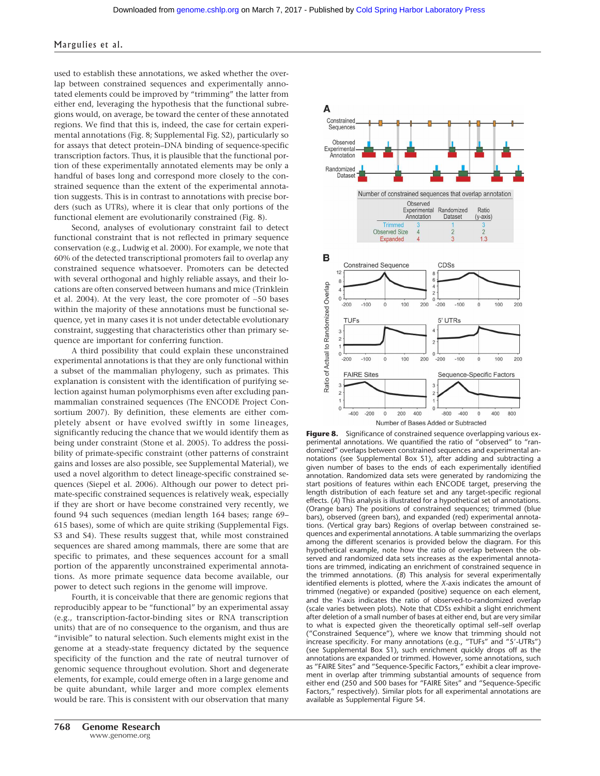used to establish these annotations, we asked whether the overlap between constrained sequences and experimentally annotated elements could be improved by "trimming" the latter from either end, leveraging the hypothesis that the functional subregions would, on average, be toward the center of these annotated regions. We find that this is, indeed, the case for certain experimental annotations (Fig. 8; Supplemental Fig. S2), particularly so for assays that detect protein–DNA binding of sequence-specific transcription factors. Thus, it is plausible that the functional portion of these experimentally annotated elements may be only a handful of bases long and correspond more closely to the constrained sequence than the extent of the experimental annotation suggests. This is in contrast to annotations with precise borders (such as UTRs), where it is clear that only portions of the functional element are evolutionarily constrained (Fig. 8).

Second, analyses of evolutionary constraint fail to detect functional constraint that is not reflected in primary sequence conservation (e.g., Ludwig et al. 2000). For example, we note that 60% of the detected transcriptional promoters fail to overlap any constrained sequence whatsoever. Promoters can be detected with several orthogonal and highly reliable assays, and their locations are often conserved between humans and mice (Trinklein et al. 2004). At the very least, the core promoter of ∼50 bases within the majority of these annotations must be functional sequence, yet in many cases it is not under detectable evolutionary constraint, suggesting that characteristics other than primary sequence are important for conferring function.

A third possibility that could explain these unconstrained experimental annotations is that they are only functional within a subset of the mammalian phylogeny, such as primates. This explanation is consistent with the identification of purifying selection against human polymorphisms even after excluding panmammalian constrained sequences (The ENCODE Project Consortium 2007). By definition, these elements are either completely absent or have evolved swiftly in some lineages, significantly reducing the chance that we would identify them as being under constraint (Stone et al. 2005). To address the possibility of primate-specific constraint (other patterns of constraint gains and losses are also possible, see Supplemental Material), we used a novel algorithm to detect lineage-specific constrained sequences (Siepel et al. 2006). Although our power to detect primate-specific constrained sequences is relatively weak, especially if they are short or have become constrained very recently, we found 94 such sequences (median length 164 bases; range 69– 615 bases), some of which are quite striking (Supplemental Figs. S3 and S4). These results suggest that, while most constrained sequences are shared among mammals, there are some that are specific to primates, and these sequences account for a small portion of the apparently unconstrained experimental annotations. As more primate sequence data become available, our power to detect such regions in the genome will improve.

Fourth, it is conceivable that there are genomic regions that reproducibly appear to be "functional" by an experimental assay (e.g., transcription-factor-binding sites or RNA transcription units) that are of no consequence to the organism, and thus are "invisible" to natural selection. Such elements might exist in the genome at a steady-state frequency dictated by the sequence specificity of the function and the rate of neutral turnover of genomic sequence throughout evolution. Short and degenerate elements, for example, could emerge often in a large genome and be quite abundant, while larger and more complex elements would be rare. This is consistent with our observation that many



**Figure 8.** Significance of constrained sequence overlapping various experimental annotations. We quantified the ratio of "observed" to "randomized" overlaps between constrained sequences and experimental annotations (see Supplemental Box S1), after adding and subtracting a given number of bases to the ends of each experimentally identified annotation. Randomized data sets were generated by randomizing the start positions of features within each ENCODE target, preserving the length distribution of each feature set and any target-specific regional effects. (*A*) This analysis is illustrated for a hypothetical set of annotations. (Orange bars) The positions of constrained sequences; trimmed (blue bars), observed (green bars), and expanded (red) experimental annotations. (Vertical gray bars) Regions of overlap between constrained sequences and experimental annotations. A table summarizing the overlaps among the different scenarios is provided below the diagram. For this hypothetical example, note how the ratio of overlap between the observed and randomized data sets increases as the experimental annotations are trimmed, indicating an enrichment of constrained sequence in the trimmed annotations. (*B*) This analysis for several experimentally identified elements is plotted, where the *X*-axis indicates the amount of trimmed (negative) or expanded (positive) sequence on each element, and the *Y*-axis indicates the ratio of observed-to-randomized overlap (scale varies between plots). Note that CDSs exhibit a slight enrichment after deletion of a small number of bases at either end, but are very similar to what is expected given the theoretically optimal self–self overlap ("Constrained Sequence"), where we know that trimming should not increase specificity. For many annotations (e.g., "TUFs" and "5--UTRs") (see Supplemental Box S1), such enrichment quickly drops off as the annotations are expanded or trimmed. However, some annotations, such as "FAIRE Sites" and "Sequence-Specific Factors," exhibit a clear improvement in overlap after trimming substantial amounts of sequence from either end (250 and 500 bases for "FAIRE Sites" and "Sequence-Specific Factors," respectively). Similar plots for all experimental annotations are available as Supplemental Figure S4.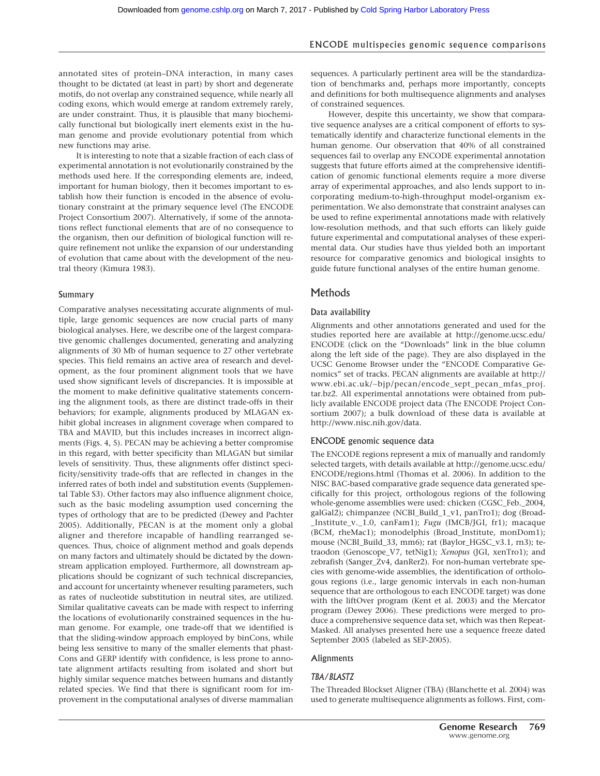annotated sites of protein–DNA interaction, in many cases thought to be dictated (at least in part) by short and degenerate motifs, do not overlap any constrained sequence, while nearly all coding exons, which would emerge at random extremely rarely, are under constraint. Thus, it is plausible that many biochemically functional but biologically inert elements exist in the human genome and provide evolutionary potential from which new functions may arise.

It is interesting to note that a sizable fraction of each class of experimental annotation is not evolutionarily constrained by the methods used here. If the corresponding elements are, indeed, important for human biology, then it becomes important to establish how their function is encoded in the absence of evolutionary constraint at the primary sequence level (The ENCODE Project Consortium 2007). Alternatively, if some of the annotations reflect functional elements that are of no consequence to the organism, then our definition of biological function will require refinement not unlike the expansion of our understanding of evolution that came about with the development of the neutral theory (Kimura 1983).

#### Summary

Comparative analyses necessitating accurate alignments of multiple, large genomic sequences are now crucial parts of many biological analyses. Here, we describe one of the largest comparative genomic challenges documented, generating and analyzing alignments of 30 Mb of human sequence to 27 other vertebrate species. This field remains an active area of research and development, as the four prominent alignment tools that we have used show significant levels of discrepancies. It is impossible at the moment to make definitive qualitative statements concerning the alignment tools, as there are distinct trade-offs in their behaviors; for example, alignments produced by MLAGAN exhibit global increases in alignment coverage when compared to TBA and MAVID, but this includes increases in incorrect alignments (Figs. 4, 5). PECAN may be achieving a better compromise in this regard, with better specificity than MLAGAN but similar levels of sensitivity. Thus, these alignments offer distinct specificity/sensitivity trade-offs that are reflected in changes in the inferred rates of both indel and substitution events (Supplemental Table S3). Other factors may also influence alignment choice, such as the basic modeling assumption used concerning the types of orthology that are to be predicted (Dewey and Pachter 2005). Additionally, PECAN is at the moment only a global aligner and therefore incapable of handling rearranged sequences. Thus, choice of alignment method and goals depends on many factors and ultimately should be dictated by the downstream application employed. Furthermore, all downstream applications should be cognizant of such technical discrepancies, and account for uncertainty whenever resulting parameters, such as rates of nucleotide substitution in neutral sites, are utilized. Similar qualitative caveats can be made with respect to inferring the locations of evolutionarily constrained sequences in the human genome. For example, one trade-off that we identified is that the sliding-window approach employed by binCons, while being less sensitive to many of the smaller elements that phast-Cons and GERP identify with confidence, is less prone to annotate alignment artifacts resulting from isolated and short but highly similar sequence matches between humans and distantly related species. We find that there is significant room for improvement in the computational analyses of diverse mammalian sequences. A particularly pertinent area will be the standardization of benchmarks and, perhaps more importantly, concepts and definitions for both multisequence alignments and analyses of constrained sequences.

However, despite this uncertainty, we show that comparative sequence analyses are a critical component of efforts to systematically identify and characterize functional elements in the human genome. Our observation that 40% of all constrained sequences fail to overlap any ENCODE experimental annotation suggests that future efforts aimed at the comprehensive identification of genomic functional elements require a more diverse array of experimental approaches, and also lends support to incorporating medium-to-high-throughput model-organism experimentation. We also demonstrate that constraint analyses can be used to refine experimental annotations made with relatively low-resolution methods, and that such efforts can likely guide future experimental and computational analyses of these experimental data. Our studies have thus yielded both an important resource for comparative genomics and biological insights to guide future functional analyses of the entire human genome.

#### **Methods**

#### Data availability

Alignments and other annotations generated and used for the studies reported here are available at http://genome.ucsc.edu/ ENCODE (click on the "Downloads" link in the blue column along the left side of the page). They are also displayed in the UCSC Genome Browser under the "ENCODE Comparative Genomics" set of tracks. PECAN alignments are available at http:// www.ebi.ac.uk/∼bjp/pecan/encode\_sept\_pecan\_mfas\_proj. tar.bz2. All experimental annotations were obtained from publicly available ENCODE project data (The ENCODE Project Consortium 2007); a bulk download of these data is available at http://www.nisc.nih.gov/data.

#### ENCODE genomic sequence data

The ENCODE regions represent a mix of manually and randomly selected targets, with details available at http://genome.ucsc.edu/ ENCODE/regions.html (Thomas et al. 2006). In addition to the NISC BAC-based comparative grade sequence data generated specifically for this project, orthologous regions of the following whole-genome assemblies were used: chicken (CGSC\_Feb.\_2004, galGal2); chimpanzee (NCBI\_Build\_1\_v1, panTro1); dog (Broad- \_Institute\_v.\_1.0, canFam1); *Fugu* (IMCB/JGI, fr1); macaque (BCM, rheMac1); monodelphis (Broad\_Institute, monDom1); mouse (NCBI\_Build\_33, mm6); rat (Baylor\_HGSC\_v3.1, rn3); tetraodon (Genoscope\_V7, tetNig1); *Xenopus* (JGI, xenTro1); and zebrafish (Sanger\_Zv4, danRer2). For non-human vertebrate species with genome-wide assemblies, the identification of orthologous regions (i.e., large genomic intervals in each non-human sequence that are orthologous to each ENCODE target) was done with the liftOver program (Kent et al. 2003) and the Mercator program (Dewey 2006). These predictions were merged to produce a comprehensive sequence data set, which was then Repeat-Masked. All analyses presented here use a sequence freeze dated September 2005 (labeled as SEP-2005).

#### Alignments

#### *TBA/BLASTZ*

The Threaded Blockset Aligner (TBA) (Blanchette et al. 2004) was used to generate multisequence alignments as follows. First, com-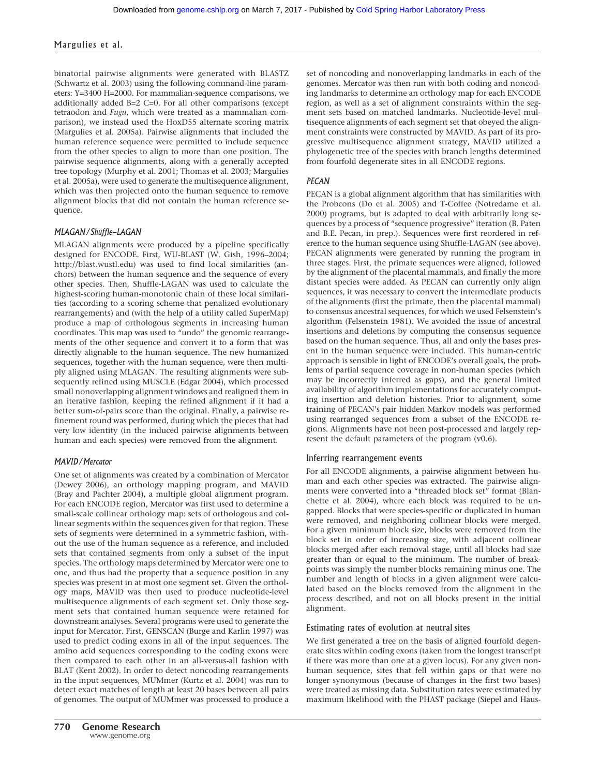binatorial pairwise alignments were generated with BLASTZ (Schwartz et al. 2003) using the following command-line parameters: Y=3400 H=2000. For mammalian-sequence comparisons, we additionally added B=2 C=0. For all other comparisons (except tetraodon and *Fugu*, which were treated as a mammalian comparison), we instead used the HoxD55 alternate scoring matrix (Margulies et al. 2005a). Pairwise alignments that included the human reference sequence were permitted to include sequence from the other species to align to more than one position. The pairwise sequence alignments, along with a generally accepted tree topology (Murphy et al. 2001; Thomas et al. 2003; Margulies et al. 2005a), were used to generate the multisequence alignment, which was then projected onto the human sequence to remove alignment blocks that did not contain the human reference sequence.

#### *MLAGAN/Shuffle-LAGAN*

MLAGAN alignments were produced by a pipeline specifically designed for ENCODE. First, WU-BLAST (W. Gish, 1996–2004; http://blast.wustl.edu) was used to find local similarities (anchors) between the human sequence and the sequence of every other species. Then, Shuffle-LAGAN was used to calculate the highest-scoring human-monotonic chain of these local similarities (according to a scoring scheme that penalized evolutionary rearrangements) and (with the help of a utility called SuperMap) produce a map of orthologous segments in increasing human coordinates. This map was used to "undo" the genomic rearrangements of the other sequence and convert it to a form that was directly alignable to the human sequence. The new humanized sequences, together with the human sequence, were then multiply aligned using MLAGAN. The resulting alignments were subsequently refined using MUSCLE (Edgar 2004), which processed small nonoverlapping alignment windows and realigned them in an iterative fashion, keeping the refined alignment if it had a better sum-of-pairs score than the original. Finally, a pairwise refinement round was performed, during which the pieces that had very low identity (in the induced pairwise alignments between human and each species) were removed from the alignment.

#### *MAVID/Mercator*

One set of alignments was created by a combination of Mercator (Dewey 2006), an orthology mapping program, and MAVID (Bray and Pachter 2004), a multiple global alignment program. For each ENCODE region, Mercator was first used to determine a small-scale collinear orthology map: sets of orthologous and collinear segments within the sequences given for that region. These sets of segments were determined in a symmetric fashion, without the use of the human sequence as a reference, and included sets that contained segments from only a subset of the input species. The orthology maps determined by Mercator were one to one, and thus had the property that a sequence position in any species was present in at most one segment set. Given the orthology maps, MAVID was then used to produce nucleotide-level multisequence alignments of each segment set. Only those segment sets that contained human sequence were retained for downstream analyses. Several programs were used to generate the input for Mercator. First, GENSCAN (Burge and Karlin 1997) was used to predict coding exons in all of the input sequences. The amino acid sequences corresponding to the coding exons were then compared to each other in an all-versus-all fashion with BLAT (Kent 2002). In order to detect noncoding rearrangements in the input sequences, MUMmer (Kurtz et al. 2004) was run to detect exact matches of length at least 20 bases between all pairs of genomes. The output of MUMmer was processed to produce a set of noncoding and nonoverlapping landmarks in each of the genomes. Mercator was then run with both coding and noncoding landmarks to determine an orthology map for each ENCODE region, as well as a set of alignment constraints within the segment sets based on matched landmarks. Nucleotide-level multisequence alignments of each segment set that obeyed the alignment constraints were constructed by MAVID. As part of its progressive multisequence alignment strategy, MAVID utilized a phylogenetic tree of the species with branch lengths determined from fourfold degenerate sites in all ENCODE regions.

#### *PECAN*

PECAN is a global alignment algorithm that has similarities with the Probcons (Do et al. 2005) and T-Coffee (Notredame et al. 2000) programs, but is adapted to deal with arbitrarily long sequences by a process of "sequence progressive" iteration (B. Paten and B.E. Pecan, in prep.). Sequences were first reordered in reference to the human sequence using Shuffle-LAGAN (see above). PECAN alignments were generated by running the program in three stages. First, the primate sequences were aligned, followed by the alignment of the placental mammals, and finally the more distant species were added. As PECAN can currently only align sequences, it was necessary to convert the intermediate products of the alignments (first the primate, then the placental mammal) to consensus ancestral sequences, for which we used Felsenstein's algorithm (Felsenstein 1981). We avoided the issue of ancestral insertions and deletions by computing the consensus sequence based on the human sequence. Thus, all and only the bases present in the human sequence were included. This human-centric approach is sensible in light of ENCODE's overall goals, the problems of partial sequence coverage in non-human species (which may be incorrectly inferred as gaps), and the general limited availability of algorithm implementations for accurately computing insertion and deletion histories. Prior to alignment, some training of PECAN's pair hidden Markov models was performed using rearranged sequences from a subset of the ENCODE regions. Alignments have not been post-processed and largely represent the default parameters of the program (v0.6).

#### Inferring rearrangement events

For all ENCODE alignments, a pairwise alignment between human and each other species was extracted. The pairwise alignments were converted into a "threaded block set" format (Blanchette et al. 2004), where each block was required to be ungapped. Blocks that were species-specific or duplicated in human were removed, and neighboring collinear blocks were merged. For a given minimum block size, blocks were removed from the block set in order of increasing size, with adjacent collinear blocks merged after each removal stage, until all blocks had size greater than or equal to the minimum. The number of breakpoints was simply the number blocks remaining minus one. The number and length of blocks in a given alignment were calculated based on the blocks removed from the alignment in the process described, and not on all blocks present in the initial alignment.

#### Estimating rates of evolution at neutral sites

We first generated a tree on the basis of aligned fourfold degenerate sites within coding exons (taken from the longest transcript if there was more than one at a given locus). For any given nonhuman sequence, sites that fell within gaps or that were no longer synonymous (because of changes in the first two bases) were treated as missing data. Substitution rates were estimated by maximum likelihood with the PHAST package (Siepel and Haus-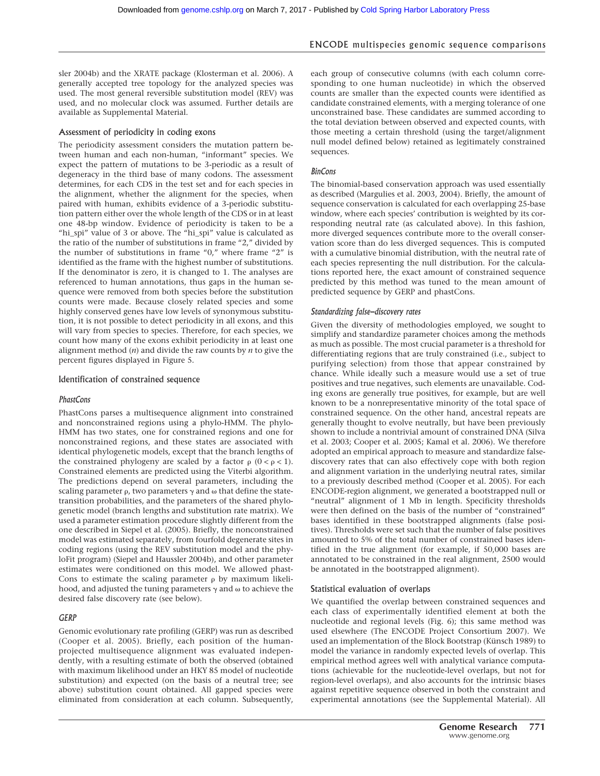sler 2004b) and the XRATE package (Klosterman et al. 2006). A generally accepted tree topology for the analyzed species was used. The most general reversible substitution model (REV) was used, and no molecular clock was assumed. Further details are available as Supplemental Material.

#### Assessment of periodicity in coding exons

The periodicity assessment considers the mutation pattern between human and each non-human, "informant" species. We expect the pattern of mutations to be 3-periodic as a result of degeneracy in the third base of many codons. The assessment determines, for each CDS in the test set and for each species in the alignment, whether the alignment for the species, when paired with human, exhibits evidence of a 3-periodic substitution pattern either over the whole length of the CDS or in at least one 48-bp window. Evidence of periodicity is taken to be a "hi\_spi" value of 3 or above. The "hi\_spi" value is calculated as the ratio of the number of substitutions in frame "2," divided by the number of substitutions in frame "0," where frame "2" is identified as the frame with the highest number of substitutions. If the denominator is zero, it is changed to 1. The analyses are referenced to human annotations, thus gaps in the human sequence were removed from both species before the substitution counts were made. Because closely related species and some highly conserved genes have low levels of synonymous substitution, it is not possible to detect periodicity in all exons, and this will vary from species to species. Therefore, for each species, we count how many of the exons exhibit periodicity in at least one alignment method (*n*) and divide the raw counts by *n* to give the percent figures displayed in Figure 5.

#### Identification of constrained sequence

#### *PhastCons*

PhastCons parses a multisequence alignment into constrained and nonconstrained regions using a phylo-HMM. The phylo-HMM has two states, one for constrained regions and one for nonconstrained regions, and these states are associated with identical phylogenetic models, except that the branch lengths of the constrained phylogeny are scaled by a factor  $\rho$  (0 <  $\rho$  < 1). Constrained elements are predicted using the Viterbi algorithm. The predictions depend on several parameters, including the scaling parameter  $\rho$ , two parameters  $\gamma$  and  $\omega$  that define the statetransition probabilities, and the parameters of the shared phylogenetic model (branch lengths and substitution rate matrix). We used a parameter estimation procedure slightly different from the one described in Siepel et al. (2005). Briefly, the nonconstrained model was estimated separately, from fourfold degenerate sites in coding regions (using the REV substitution model and the phyloFit program) (Siepel and Haussler 2004b), and other parameter estimates were conditioned on this model. We allowed phast-Cons to estimate the scaling parameter  $\rho$  by maximum likelihood, and adjusted the tuning parameters  $\gamma$  and  $\omega$  to achieve the desired false discovery rate (see below).

#### *GERP*

Genomic evolutionary rate profiling (GERP) was run as described (Cooper et al. 2005). Briefly, each position of the humanprojected multisequence alignment was evaluated independently, with a resulting estimate of both the observed (obtained with maximum likelihood under an HKY 85 model of nucleotide substitution) and expected (on the basis of a neutral tree; see above) substitution count obtained. All gapped species were eliminated from consideration at each column. Subsequently,

each group of consecutive columns (with each column corresponding to one human nucleotide) in which the observed counts are smaller than the expected counts were identified as candidate constrained elements, with a merging tolerance of one unconstrained base. These candidates are summed according to the total deviation between observed and expected counts, with those meeting a certain threshold (using the target/alignment null model defined below) retained as legitimately constrained sequences.

#### *BinCons*

The binomial-based conservation approach was used essentially as described (Margulies et al. 2003, 2004). Briefly, the amount of sequence conservation is calculated for each overlapping 25-base window, where each species' contribution is weighted by its corresponding neutral rate (as calculated above). In this fashion, more diverged sequences contribute more to the overall conservation score than do less diverged sequences. This is computed with a cumulative binomial distribution, with the neutral rate of each species representing the null distribution. For the calculations reported here, the exact amount of constrained sequence predicted by this method was tuned to the mean amount of predicted sequence by GERP and phastCons.

#### *Standardizing false-discovery rates*

Given the diversity of methodologies employed, we sought to simplify and standardize parameter choices among the methods as much as possible. The most crucial parameter is a threshold for differentiating regions that are truly constrained (i.e., subject to purifying selection) from those that appear constrained by chance. While ideally such a measure would use a set of true positives and true negatives, such elements are unavailable. Coding exons are generally true positives, for example, but are well known to be a nonrepresentative minority of the total space of constrained sequence. On the other hand, ancestral repeats are generally thought to evolve neutrally, but have been previously shown to include a nontrivial amount of constrained DNA (Silva et al. 2003; Cooper et al. 2005; Kamal et al. 2006). We therefore adopted an empirical approach to measure and standardize falsediscovery rates that can also effectively cope with both region and alignment variation in the underlying neutral rates, similar to a previously described method (Cooper et al. 2005). For each ENCODE-region alignment, we generated a bootstrapped null or "neutral" alignment of 1 Mb in length. Specificity thresholds were then defined on the basis of the number of "constrained" bases identified in these bootstrapped alignments (false positives). Thresholds were set such that the number of false positives amounted to 5% of the total number of constrained bases identified in the true alignment (for example, if 50,000 bases are annotated to be constrained in the real alignment, 2500 would be annotated in the bootstrapped alignment).

#### Statistical evaluation of overlaps

We quantified the overlap between constrained sequences and each class of experimentally identified element at both the nucleotide and regional levels (Fig. 6); this same method was used elsewhere (The ENCODE Project Consortium 2007). We used an implementation of the Block Bootstrap (Künsch 1989) to model the variance in randomly expected levels of overlap. This empirical method agrees well with analytical variance computations (achievable for the nucleotide-level overlaps, but not for region-level overlaps), and also accounts for the intrinsic biases against repetitive sequence observed in both the constraint and experimental annotations (see the Supplemental Material). All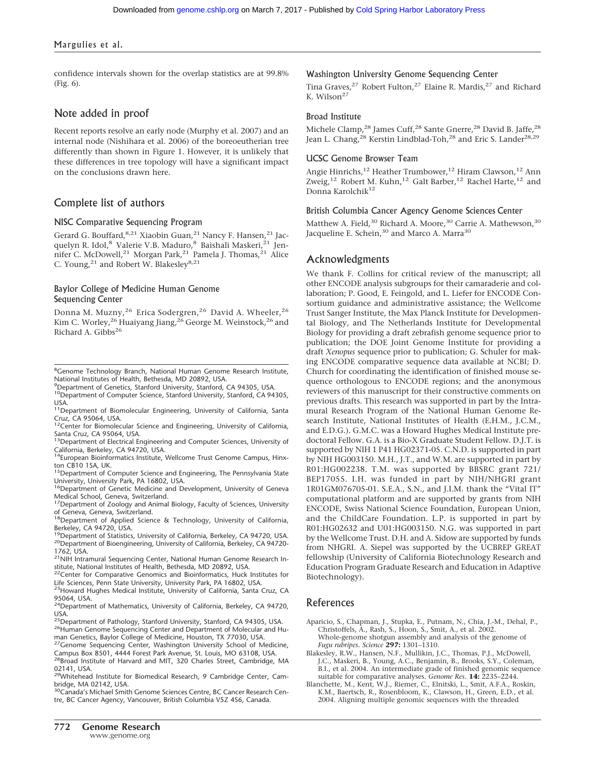confidence intervals shown for the overlap statistics are at 99.8% (Fig. 6).

#### Note added in proof

Recent reports resolve an early node (Murphy et al. 2007) and an internal node (Nishihara et al. 2006) of the boreoeutherian tree differently than shown in Figure 1. However, it is unlikely that these differences in tree topology will have a significant impact on the conclusions drawn here.

#### Complete list of authors

#### NISC Comparative Sequencing Program

Gerard G. Bouffard, 8,21 Xiaobin Guan, 21 Nancy F. Hansen, 21 Jacquelyn R. Idol,<sup>8</sup> Valerie V.B. Maduro,<sup>8</sup> Baishali Maskeri,<sup>21</sup> Jennifer C. McDowell,<sup>21</sup> Morgan Park,<sup>21</sup> Pamela J. Thomas,<sup>21</sup> Alice C. Young,<sup>21</sup> and Robert W. Blakesley<sup>8,21</sup>

#### Baylor College of Medicine Human Genome Sequencing Center

Donna M. Muzny,<sup>26</sup> Erica Sodergren,<sup>26</sup> David A. Wheeler,<sup>26</sup> Kim C. Worley,<sup>26</sup> Huaiyang Jiang,<sup>26</sup> George M. Weinstock,<sup>26</sup> and Richard A. Gibbs<sup>26</sup>

USA.<br><sup>11</sup>Department of Biomolecular Engineering, University of California, Santa

Cruz, CA 95064, USA.<br><sup>12</sup>Center for Biomolecular Science and Engineering, University of California, Santa Cruz, CA 95064, USA.

<sup>13</sup>Department of Electrical Engineering and Computer Sciences, University of

California, Berkeley, CA 94720, USA.<br><sup>14</sup>European Bioinformatics Institute, Wellcome Trust Genome Campus, Hinxton CB10 1SA, UK.

<sup>15</sup>Department of Computer Science and Engineering, The Pennsylvania State University, University Park, PA 16802, USA.

<sup>16</sup>Department of Genetic Medicine and Development, University of Geneva Medical School, Geneva, Switzerland.

<sup>17</sup>Department of Zoology and Animal Biology, Faculty of Sciences, University of Geneva, Geneva, Switzerland.<br><sup>18</sup>Department of Applied Science & Technology, University of California,

Berkeley, CA 94720, USA.<br><sup>19</sup>Department of Statistics, University of California, Berkeley, CA 94720, USA.

- <sup>20</sup>Department of Bioengineering, University of California, Berkeley, CA 94720-1762, USA.
- <sup>21</sup>NIH Intramural Sequencing Center, National Human Genome Research Institute, National Institutes of Health, Bethesda, MD 20892, USA.

<sup>22</sup>Center for Comparative Genomics and Bioinformatics, Huck Institutes for Life Sciences, Penn State University, University Park, PA 16802, USA.

<sup>23</sup>Howard Hughes Medical Institute, University of California, Santa Cruz, CA 95064, USA.

<sup>26</sup>Human Genome Sequencing Center and Department of Molecular and Hu-

man Genetics, Baylor College of Medicine, Houston, TX 77030, USA.<br><sup>27</sup>Genome Sequencing Center, Washington University School of Medicine, Campus Box 8501, 4444 Forest Park Avenue, St. Louis, MO 63108, USA.

28Broad Institute of Harvard and MIT, 320 Charles Street, Cambridge, MA 02141, USA.

29Whitehead Institute for Biomedical Research, 9 Cambridge Center, Cambridge, MA 02142, USA.<br><sup>30</sup>Canada's Michael Smith Genome Sciences Centre, BC Cancer Research Cen-

tre, BC Cancer Agency, Vancouver, British Columbia V5Z 4S6, Canada.

#### Washington University Genome Sequencing Center

Tina Graves,<sup>27</sup> Robert Fulton,<sup>27</sup> Elaine R. Mardis,<sup>27</sup> and Richard K. Wilson<sup>27</sup>

#### Broad Institute

Michele Clamp,<sup>28</sup> James Cuff,<sup>28</sup> Sante Gnerre,<sup>28</sup> David B. Jaffe,<sup>28</sup> Jean L. Chang,<sup>28</sup> Kerstin Lindblad-Toh,<sup>28</sup> and Eric S. Lander<sup>28,29</sup>

#### UCSC Genome Browser Team

Angie Hinrichs, <sup>12</sup> Heather Trumbower, <sup>12</sup> Hiram Clawson, <sup>12</sup> Ann Zweig,<sup>12</sup> Robert M. Kuhn,<sup>12</sup> Galt Barber,<sup>12</sup> Rachel Harte,<sup>12</sup> and Donna Karolchik<sup>12</sup>

#### British Columbia Cancer Agency Genome Sciences Center

Matthew A. Field,<sup>30</sup> Richard A. Moore,<sup>30</sup> Carrie A. Mathewson,<sup>30</sup> Jacqueline E. Schein,<sup>30</sup> and Marco A. Marra<sup>30</sup>

#### Acknowledgments

We thank F. Collins for critical review of the manuscript; all other ENCODE analysis subgroups for their camaraderie and collaboration; P. Good, E. Feingold, and L. Liefer for ENCODE Consortium guidance and administrative assistance; the Wellcome Trust Sanger Institute, the Max Planck Institute for Developmental Biology, and The Netherlands Institute for Developmental Biology for providing a draft zebrafish genome sequence prior to publication; the DOE Joint Genome Institute for providing a draft *Xenopus* sequence prior to publication; G. Schuler for making ENCODE comparative sequence data available at NCBI; D. Church for coordinating the identification of finished mouse sequence orthologous to ENCODE regions; and the anonymous reviewers of this manuscript for their constructive comments on previous drafts. This research was supported in part by the Intramural Research Program of the National Human Genome Research Institute, National Institutes of Health (E.H.M., J.C.M., and E.D.G.). G.M.C. was a Howard Hughes Medical Institute predoctoral Fellow. G.A. is a Bio-X Graduate Student Fellow. D.J.T. is supported by NIH 1 P41 HG02371-05. C.N.D. is supported in part by NIH HG003150. M.H., J.T., and W.M. are supported in part by R01:HG002238. T.M. was supported by BBSRC grant 721/ BEP17055. I.H. was funded in part by NIH/NHGRI grant 1R01GM076705-01. S.E.A., S.N., and J.I.M. thank the "Vital IT" computational platform and are supported by grants from NIH ENCODE, Swiss National Science Foundation, European Union, and the ChildCare Foundation. L.P. is supported in part by R01:HG02632 and U01:HG003150. N.G. was supported in part by the Wellcome Trust. D.H. and A. Sidow are supported by funds from NHGRI. A. Siepel was supported by the UCBREP GREAT fellowship (University of California Biotechnology Research and Education Program Graduate Research and Education in Adaptive Biotechnology).

#### References

Aparicio, S., Chapman, J., Stupka, E., Putnam, N., Chia, J.-M., Dehal, P., Christoffels, A., Rash, S., Hoon, S., Smit, A., et al. 2002. Whole-genome shotgun assembly and analysis of the genome of *Fugu rubripes. Science* **297:** 1301–1310.

Blakesley, R.W., Hansen, N.F., Mullikin, J.C., Thomas, P.J., McDowell, J.C., Maskeri, B., Young, A.C., Benjamin, B., Brooks, S.Y., Coleman, B.I., et al. 2004. An intermediate grade of finished genomic sequence suitable for comparative analyses. *Genome Res.* **14:** 2235–2244.

Blanchette, M., Kent, W.J., Riemer, C., Elnitski, L., Smit, A.F.A., Roskin, K.M., Baertsch, R., Rosenbloom, K., Clawson, H., Green, E.D., et al. 2004. Aligning multiple genomic sequences with the threaded

<sup>&</sup>lt;sup>8</sup>Genome Technology Branch, National Human Genome Research Institute, National Institutes of Health, Bethesda, MD 20892, USA.

<sup>9</sup> Department of Genetics, Stanford University, Stanford, CA 94305, USA. <sup>10</sup>Department of Computer Science, Stanford University, Stanford, CA 94305,

<sup>&</sup>lt;sup>24</sup>Department of Mathematics, University of California, Berkeley, CA 94720, USA.<br><sup>25</sup>Department of Pathology, Stanford University, Stanford, CA 94305, USA.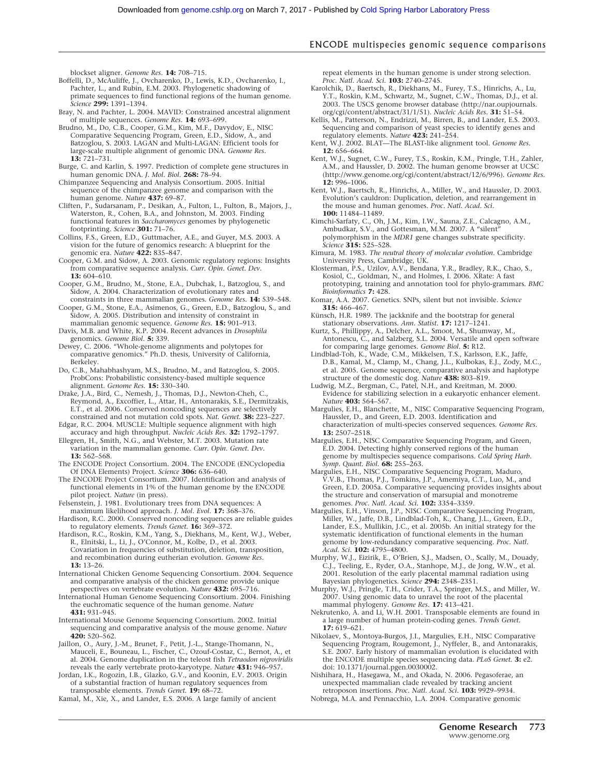blockset aligner. *Genome Res.* **14:** 708–715.

- Boffelli, D., McAuliffe, J., Ovcharenko, D., Lewis, K.D., Ovcharenko, I., Pachter, L., and Rubin, E.M. 2003. Phylogenetic shadowing of primate sequences to find functional regions of the human genome. *Science* **299:** 1391–1394.
- Bray, N. and Pachter, L. 2004. MAVID: Constrained ancestral alignment of multiple sequences. *Genome Res.* **14:** 693–699.
- Brudno, M., Do, C.B., Cooper, G.M., Kim, M.F., Davydov, E., NISC Comparative Sequencing Program, Green, E.D., Sidow, A., and Batzoglou, S. 2003. LAGAN and Multi-LAGAN: Efficient tools for large-scale multiple alignment of genomic DNA. *Genome Res.* **13:** 721–731.
- Burge, C. and Karlin, S. 1997. Prediction of complete gene structures in human genomic DNA. *J. Mol. Biol.* **268:** 78–94.
- Chimpanzee Sequencing and Analysis Consortium. 2005. Initial sequence of the chimpanzee genome and comparison with the human genome. *Nature* **437:** 69–87.
- Cliften, P., Sudarsanam, P., Desikan, A., Fulton, L., Fulton, B., Majors, J., Waterston, R., Cohen, B.A., and Johnston, M. 2003. Finding functional features in *Saccharomyces* genomes by phylogenetic footprinting. *Science* **301:** 71–76.
- Collins, F.S., Green, E.D., Guttmacher, A.E., and Guyer, M.S. 2003. A vision for the future of genomics research: A blueprint for the genomic era. *Nature* **422:** 835–847.
- Cooper, G.M. and Sidow, A. 2003. Genomic regulatory regions: Insights from comparative sequence analysis. *Curr. Opin. Genet. Dev.* **13:** 604–610.
- Cooper, G.M., Brudno, M., Stone, E.A., Dubchak, I., Batzoglou, S., and Sidow, A. 2004. Characterization of evolutionary rates and constraints in three mammalian genomes. *Genome Res.* **14:** 539–548.
- Cooper, G.M., Stone, E.A., Asimenos, G., Green, E.D., Batzoglou, S., and Sidow, A. 2005. Distribution and intensity of constraint in
- mammalian genomic sequence. *Genome Res.* **15:** 901–913. Davis, M.B. and White, K.P. 2004. Recent advances in *Drosophila* genomics. *Genome Biol.* **5:** 339.
- Dewey, C. 2006. "Whole-genome alignments and polytopes for comparative genomics." Ph.D. thesis, University of California, Berkeley.
- Do, C.B., Mahabhashyam, M.S., Brudno, M., and Batzoglou, S. 2005. ProbCons: Probabilistic consistency-based multiple sequence alignment. *Genome Res.* **15:** 330–340.
- Drake, J.A., Bird, C., Nemesh, J., Thomas, D.J., Newton-Cheh, C., Reymond, A., Excoffier, L., Attar, H., Antonarakis, S.E., Dermitzakis, E.T., et al. 2006. Conserved noncoding sequences are selectively constrained and not mutation cold spots. *Nat. Genet.* **38:** 223–227.
- Edgar, R.C. 2004. MUSCLE: Multiple sequence alignment with high accuracy and high throughput. *Nucleic Acids Res.* **32:** 1792–1797.
- Ellegren, H., Smith, N.G., and Webster, M.T. 2003. Mutation rate variation in the mammalian genome. *Curr. Opin. Genet. Dev.* **13:** 562–568.
- The ENCODE Project Consortium. 2004. The ENCODE (ENCyclopedia Of DNA Elements) Project. *Science* **306:** 636–640.
- The ENCODE Project Consortium. 2007. Identification and analysis of functional elements in 1% of the human genome by the ENCODE pilot project. *Nature* (in press).
- Felsenstein, J. 1981. Evolutionary trees from DNA sequences: A maximum likelihood approach. *J. Mol. Evol.* **17:** 368–376.
- Hardison, R.C. 2000. Conserved noncoding sequences are reliable guides to regulatory elements. *Trends Genet.* **16:** 369–372.
- Hardison, R.C., Roskin, K.M., Yang, S., Diekhans, M., Kent, W.J., Weber, R., Elnitski, L., Li, J., O'Connor, M., Kolbe, D., et al. 2003. Covariation in frequencies of substitution, deletion, transposition, and recombination during eutherian evolution. *Genome Res.* **13:** 13–26.
- International Chicken Genome Sequencing Consortium. 2004. Sequence and comparative analysis of the chicken genome provide unique perspectives on vertebrate evolution. *Nature* **432:** 695–716.
- International Human Genome Sequencing Consortium. 2004. Finishing the euchromatic sequence of the human genome. *Nature* **431:** 931–945.
- International Mouse Genome Sequencing Consortium. 2002. Initial sequencing and comparative analysis of the mouse genome. *Nature* **420:** 520–562.
- Jaillon, O., Aury, J.-M., Brunet, F., Petit, J.-L., Stange-Thomann, N., Mauceli, E., Bouneau, L., Fischer, C., Ozouf-Costaz, C., Bernot, A., et al. 2004. Genome duplication in the teleost fish *Tetraodon nigroviridis* reveals the early vertebrate proto-karyotype. *Nature* **431:** 946–957.
- Jordan, I.K., Rogozin, I.B., Glazko, G.V., and Koonin, E.V. 2003. Origin of a substantial fraction of human regulatory sequences from transposable elements. *Trends Genet.* **19:** 68–72.
- Kamal, M., Xie, X., and Lander, E.S. 2006. A large family of ancient

repeat elements in the human genome is under strong selection. *Proc. Natl. Acad. Sci.* **103:** 2740–2745.

- Karolchik, D., Baertsch, R., Diekhans, M., Furey, T.S., Hinrichs, A., Lu, Y.T., Roskin, K.M., Schwartz, M., Sugnet, C.W., Thomas, D.J., et al. 2003. The USCS genome browser database (http://nar.oupjournals. org/cgi/content/abstract/31/1/51). *Nucleic Acids Res.* **31:** 51–54.
- Kellis, M., Patterson, N., Endrizzi, M., Birren, B., and Lander, E.S. 2003. Sequencing and comparison of yeast species to identify genes and
- regulatory elements. *Nature* **423:** 241–254. Kent, W.J. 2002. BLAT—The BLAST-like alignment tool. *Genome Res.* **12:** 656–664.
- Kent, W.J., Sugnet, C.W., Furey, T.S., Roskin, K.M., Pringle, T.H., Zahler, A.M., and Haussler, D. 2002. The human genome browser at UCSC (http://www.genome.org/cgi/content/abstract/12/6/996). *Genome Res.* **12:** 996–1006.
- Kent, W.J., Baertsch, R., Hinrichs, A., Miller, W., and Haussler, D. 2003. Evolution's cauldron: Duplication, deletion, and rearrangement in the mouse and human genomes. *Proc. Natl. Acad. Sci.* **100:** 11484–11489.
- Kimchi-Sarfaty, C., Oh, J.M., Kim, I.W., Sauna, Z.E., Calcagno, A.M., Ambudkar, S.V., and Gottesman, M.M. 2007. A "silent" polymorphism in the *MDR1* gene changes substrate specificity. *Science* **315:** 525–528.
- Kimura, M. 1983. *The neutral theory of molecular evolution*. Cambridge University Press, Cambridge, UK.
- Klosterman, P.S., Uzilov, A.V., Bendana, Y.R., Bradley, R.K., Chao, S., Kosiol, C., Goldman, N., and Holmes, I. 2006. XRate: A fast prototyping, training and annotation tool for phylo-grammars. *BMC Bioinformatics* **7:** 428.
- Komar, A.A. 2007. Genetics. SNPs, silent but not invisible. *Science* **315:** 466–467.
- Künsch, H.R. 1989. The jackknife and the bootstrap for general stationary observations. *Ann. Statist.* **17:** 1217–1241.
- Kurtz, S., Phillippy, A., Delcher, A.L., Smoot, M., Shumway, M., Antonescu, C., and Salzberg, S.L. 2004. Versatile and open software for comparing large genomes. *Genome Biol.* **5:** R12.
- Lindblad-Toh, K., Wade, C.M., Mikkelsen, T.S., Karlsson, E.K., Jaffe, D.B., Kamal, M., Clamp, M., Chang, J.L., Kulbokas, E.J., Zody, M.C., et al. 2005. Genome sequence, comparative analysis and haplotype structure of the domestic dog. *Nature* **438:** 803–819. Ludwig, M.Z., Bergman, C., Patel, N.H., and Kreitman, M. 2000.
- Evidence for stabilizing selection in a eukaryotic enhancer element. *Nature* **403:** 564–567.
- Margulies, E.H., Blanchette, M., NISC Comparative Sequencing Program, Haussler, D., and Green, E.D. 2003. Identification and characterization of multi-species conserved sequences. *Genome Res.* **13:** 2507–2518.
- Margulies, E.H., NISC Comparative Sequencing Program, and Green, E.D. 2004. Detecting highly conserved regions of the human genome by multispecies sequence comparisons. *Cold Spring Harb. Symp. Quant. Biol.* **68:** 255–263. Margulies, E.H., NISC Comparative Sequencing Program, Maduro,
- V.V.B., Thomas, P.J., Tomkins, J.P., Amemiya, C.T., Luo, M., and Green, E.D. 2005a. Comparative sequencing provides insights about the structure and conservation of marsupial and monotreme genomes. *Proc. Natl. Acad. Sci.* **102:** 3354–3359.
- Margulies, E.H., Vinson, J.P., NISC Comparative Sequencing Program, Miller, W., Jaffe, D.B., Lindblad-Toh, K., Chang, J.L., Green, E.D., Lander, E.S., Mullikin, J.C., et al. 2005b. An initial strategy for the systematic identification of functional elements in the human genome by low-redundancy comparative sequencing. *Proc. Natl. Acad. Sci.* **102:** 4795–4800.
- Murphy, W.J., Eizirik, E., O'Brien, S.J., Madsen, O., Scally, M., Douady, C.J., Teeling, E., Ryder, O.A., Stanhope, M.J., de Jong, W.W., et al. 2001. Resolution of the early placental mammal radiation using Bayesian phylogenetics. *Science* **294:** 2348–2351.
- Murphy, W.J., Pringle, T.H., Crider, T.A., Springer, M.S., and Miller, W. 2007. Using genomic data to unravel the root of the placental mammal phylogeny. *Genome Res.* **17:** 413–421.
- Nekrutenko, A. and Li, W.H. 2001. Transposable elements are found in a large number of human protein-coding genes. *Trends Genet.* **17:** 619–621.
- Nikolaev, S., Montoya-Burgos, J.I., Margulies, E.H., NISC Comparative Sequencing Program, Rougemont, J., Nyffeler, B., and Antonarakis, S.E. 2007. Early history of mammalian evolution is elucidated with the ENCODE multiple species sequencing data. *PLoS Genet.* **3:** e2. doi: 10.1371/journal.pgen.0030002.
- Nishihara, H., Hasegawa, M., and Okada, N. 2006. Pegasoferae, an unexpected mammalian clade revealed by tracking ancient retroposon insertions. *Proc. Natl. Acad. Sci.* **103:** 9929–9934.
- Nobrega, M.A. and Pennacchio, L.A. 2004. Comparative genomic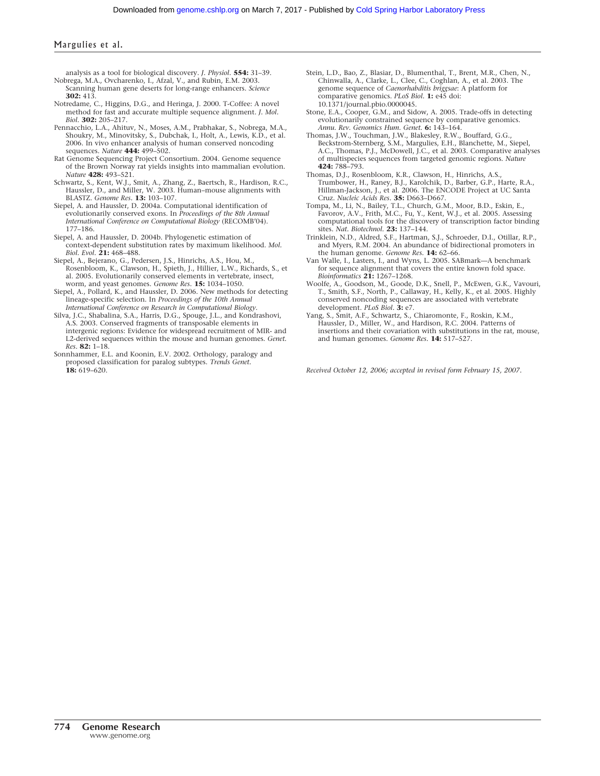analysis as a tool for biological discovery. *J. Physiol.* **554:** 31–39. Nobrega, M.A., Ovcharenko, I., Afzal, V., and Rubin, E.M. 2003.

- Scanning human gene deserts for long-range enhancers. *Science* **302:** 413.
- Notredame, C., Higgins, D.G., and Heringa, J. 2000. T-Coffee: A novel method for fast and accurate multiple sequence alignment. *J. Mol. Biol.* **302:** 205–217.
- Pennacchio, L.A., Ahituv, N., Moses, A.M., Prabhakar, S., Nobrega, M.A., Shoukry, M., Minovitsky, S., Dubchak, I., Holt, A., Lewis, K.D., et al. 2006. In vivo enhancer analysis of human conserved noncoding sequences. *Nature* **444:** 499–502.
- Rat Genome Sequencing Project Consortium. 2004. Genome sequence of the Brown Norway rat yields insights into mammalian evolution. *Nature* **428:** 493–521.
- Schwartz, S., Kent, W.J., Smit, A., Zhang, Z., Baertsch, R., Hardison, R.C., Haussler, D., and Miller, W. 2003. Human–mouse alignments with BLASTZ. *Genome Res.* **13:** 103–107.
- Siepel, A. and Haussler, D. 2004a. Computational identification of evolutionarily conserved exons. In *Proceedings of the 8th Annual International Conference on Computational Biology* (RECOMB'04). 177–186.
- Siepel, A. and Haussler, D. 2004b. Phylogenetic estimation of context-dependent substitution rates by maximum likelihood. *Mol. Biol. Evol.* **21:** 468–488.
- Siepel, A., Bejerano, G., Pedersen, J.S., Hinrichs, A.S., Hou, M., Rosenbloom, K., Clawson, H., Spieth, J., Hillier, L.W., Richards, S., et al. 2005. Evolutionarily conserved elements in vertebrate, insect, worm, and yeast genomes. *Genome Res.* **15:** 1034–1050.
- Siepel, A., Pollard, K., and Haussler, D. 2006. New methods for detecting lineage-specific selection. In *Proceedings of the 10th Annual International Conference on Research in Computational Biology*.
- Silva, J.C., Shabalina, S.A., Harris, D.G., Spouge, J.L., and Kondrashovi, A.S. 2003. Conserved fragments of transposable elements in intergenic regions: Evidence for widespread recruitment of MIR- and L2-derived sequences within the mouse and human genomes. *Genet. Res.* **82:** 1–18.
- Sonnhammer, E.L. and Koonin, E.V. 2002. Orthology, paralogy and proposed classification for paralog subtypes. *Trends Genet.* **18:** 619–620.
- Stein, L.D., Bao, Z., Blasiar, D., Blumenthal, T., Brent, M.R., Chen, N., Chinwalla, A., Clarke, L., Clee, C., Coghlan, A., et al. 2003. The genome sequence of *Caenorhabditis briggsae*: A platform for comparative genomics. *PLoS Biol.* **1:** e45 doi: 10.1371/journal.pbio.0000045.
- Stone, E.A., Cooper, G.M., and Sidow, A. 2005. Trade-offs in detecting evolutionarily constrained sequence by comparative genomics. *Annu. Rev. Genomics Hum. Genet.* **6:** 143–164.
- Thomas, J.W., Touchman, J.W., Blakesley, R.W., Bouffard, G.G., Beckstrom-Sternberg, S.M., Margulies, E.H., Blanchette, M., Siepel, A.C., Thomas, P.J., McDowell, J.C., et al. 2003. Comparative analyses of multispecies sequences from targeted genomic regions. *Nature* **424:** 788–793.
- Thomas, D.J., Rosenbloom, K.R., Clawson, H., Hinrichs, A.S., Trumbower, H., Raney, B.J., Karolchik, D., Barber, G.P., Harte, R.A., Hillman-Jackson, J., et al. 2006. The ENCODE Project at UC Santa Cruz. *Nucleic Acids Res.* **35:** D663–D667.
- Tompa, M., Li, N., Bailey, T.L., Church, G.M., Moor, B.D., Eskin, E., Favorov, A.V., Frith, M.C., Fu, Y., Kent, W.J., et al. 2005. Assessing computational tools for the discovery of transcription factor binding sites. *Nat. Biotechnol.* **23:** 137–144.
- Trinklein, N.D., Aldred, S.F., Hartman, S.J., Schroeder, D.I., Otillar, R.P., and Myers, R.M. 2004. An abundance of bidirectional promoters in the human genome. *Genome Res.* **14:** 62–66.
- Van Walle, I., Lasters, I., and Wyns, L. 2005. SABmark—A benchmark for sequence alignment that covers the entire known fold space. *Bioinformatics* **21:** 1267–1268.
- Woolfe, A., Goodson, M., Goode, D.K., Snell, P., McEwen, G.K., Vavouri, T., Smith, S.F., North, P., Callaway, H., Kelly, K., et al. 2005. Highly conserved noncoding sequences are associated with vertebrate development. *PLoS Biol.* **3:** e7.
- Yang, S., Smit, A.F., Schwartz, S., Chiaromonte, F., Roskin, K.M., Haussler, D., Miller, W., and Hardison, R.C. 2004. Patterns of insertions and their covariation with substitutions in the rat, mouse, and human genomes. *Genome Res.* **14:** 517–527.

*Received October 12, 2006; accepted in revised form February 15, 2007.*